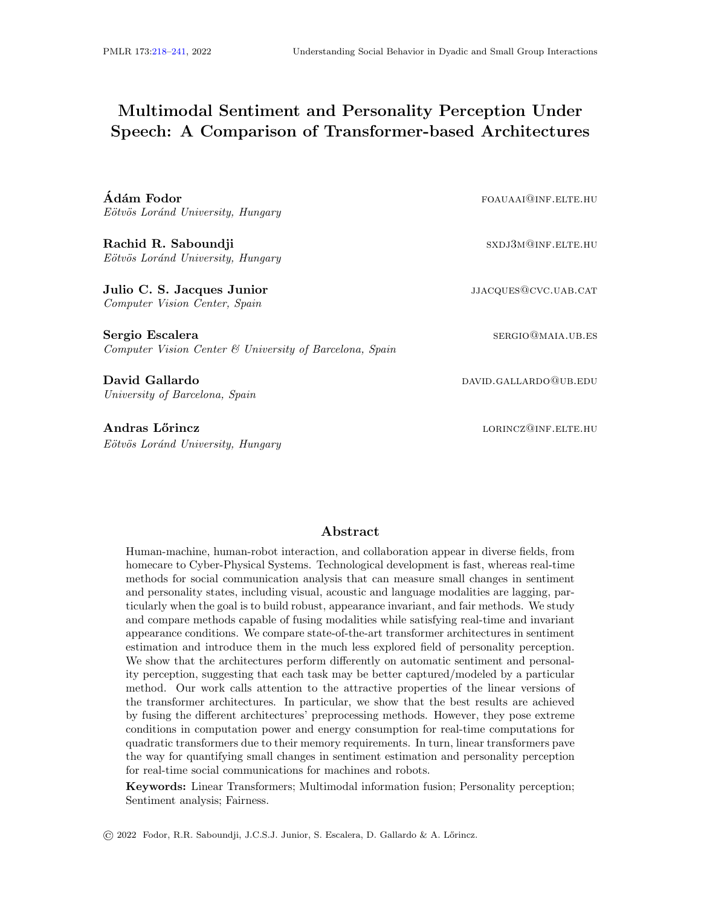# <span id="page-0-0"></span>Multimodal Sentiment and Personality Perception Under Speech: A Comparison of Transformer-based Architectures

 $\rm \AA$ dám Fodor  $\rm \AA$ Eötvös Loránd University, Hungary

Rachid R. Saboundji sxdj3m@inF.ELTE.HU Eötvös Loránd University, Hungary

Julio C. S. Jacques Junior just be a state of the state of the state of the state of the state of the state of the state of the state of the state of the state of the state of the state of the state of the state of the sta Computer Vision Center, Spain

Sergio Escalera sergio escalera sergio especificato e sergio escalera sergio e sergio e sergio e sergio e ser Computer Vision Center & University of Barcelona, Spain

David Gallardo david Gallardo david Gallardo david Gallardo david Gallardo david Gallardo david Gallardo david University of Barcelona, Spain

Andras Lőrincz and a corresponding to the corresponding to the corresponding to the corresponding to the corresponding to the corresponding to the corresponding to the corresponding to the corresponding to the correspondin Eötvös Loránd University, Hungary

# Abstract

Human-machine, human-robot interaction, and collaboration appear in diverse fields, from homecare to Cyber-Physical Systems. Technological development is fast, whereas real-time methods for social communication analysis that can measure small changes in sentiment and personality states, including visual, acoustic and language modalities are lagging, particularly when the goal is to build robust, appearance invariant, and fair methods. We study and compare methods capable of fusing modalities while satisfying real-time and invariant appearance conditions. We compare state-of-the-art transformer architectures in sentiment estimation and introduce them in the much less explored field of personality perception. We show that the architectures perform differently on automatic sentiment and personality perception, suggesting that each task may be better captured/modeled by a particular method. Our work calls attention to the attractive properties of the linear versions of the transformer architectures. In particular, we show that the best results are achieved by fusing the different architectures' preprocessing methods. However, they pose extreme conditions in computation power and energy consumption for real-time computations for quadratic transformers due to their memory requirements. In turn, linear transformers pave the way for quantifying small changes in sentiment estimation and personality perception for real-time social communications for machines and robots.

Keywords: Linear Transformers; Multimodal information fusion; Personality perception; Sentiment analysis; Fairness.

© 2022 Fodor, R.R. Saboundji, J.C.S.J. Junior, S. Escalera, D. Gallardo & A. L˝orincz.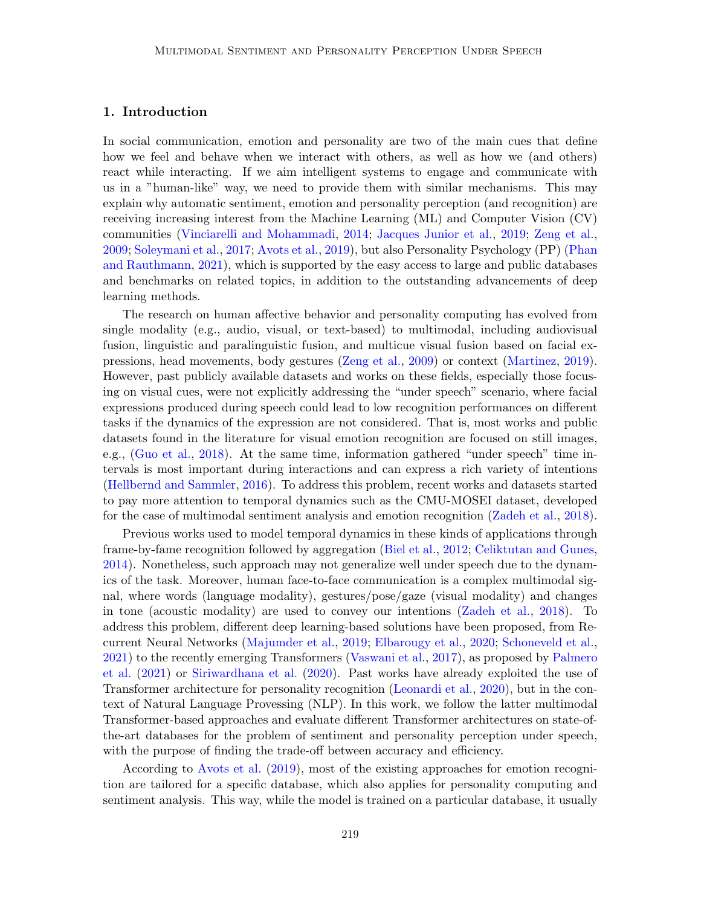## 1. Introduction

In social communication, emotion and personality are two of the main cues that define how we feel and behave when we interact with others, as well as how we (and others) react while interacting. If we aim intelligent systems to engage and communicate with us in a "human-like" way, we need to provide them with similar mechanisms. This may explain why automatic sentiment, emotion and personality perception (and recognition) are receiving increasing interest from the Machine Learning (ML) and Computer Vision (CV) communities [\(Vinciarelli and Mohammadi,](#page-22-0) [2014;](#page-22-0) [Jacques Junior et al.,](#page-20-0) [2019;](#page-20-0) [Zeng et al.,](#page-23-1) [2009;](#page-23-1) [Soleymani et al.,](#page-22-1) [2017;](#page-22-1) [Avots et al.,](#page-18-0) [2019\)](#page-18-0), but also Personality Psychology (PP) [\(Phan](#page-21-0) [and Rauthmann,](#page-21-0) [2021\)](#page-21-0), which is supported by the easy access to large and public databases and benchmarks on related topics, in addition to the outstanding advancements of deep learning methods.

The research on human affective behavior and personality computing has evolved from single modality (e.g., audio, visual, or text-based) to multimodal, including audiovisual fusion, linguistic and paralinguistic fusion, and multicue visual fusion based on facial expressions, head movements, body gestures [\(Zeng et al.,](#page-23-1) [2009\)](#page-23-1) or context [\(Martinez,](#page-21-1) [2019\)](#page-21-1). However, past publicly available datasets and works on these fields, especially those focusing on visual cues, were not explicitly addressing the "under speech" scenario, where facial expressions produced during speech could lead to low recognition performances on different tasks if the dynamics of the expression are not considered. That is, most works and public datasets found in the literature for visual emotion recognition are focused on still images, e.g., [\(Guo et al.,](#page-20-1) [2018\)](#page-20-1). At the same time, information gathered "under speech" time intervals is most important during interactions and can express a rich variety of intentions [\(Hellbernd and Sammler,](#page-20-2) [2016\)](#page-20-2). To address this problem, recent works and datasets started to pay more attention to temporal dynamics such as the CMU-MOSEI dataset, developed for the case of multimodal sentiment analysis and emotion recognition [\(Zadeh et al.,](#page-22-2) [2018\)](#page-22-2).

Previous works used to model temporal dynamics in these kinds of applications through frame-by-fame recognition followed by aggregation [\(Biel et al.,](#page-18-1) [2012;](#page-18-1) [Celiktutan and Gunes,](#page-19-0) [2014\)](#page-19-0). Nonetheless, such approach may not generalize well under speech due to the dynamics of the task. Moreover, human face-to-face communication is a complex multimodal signal, where words (language modality), gestures/pose/gaze (visual modality) and changes in tone (acoustic modality) are used to convey our intentions [\(Zadeh et al.,](#page-22-2) [2018\)](#page-22-2). To address this problem, different deep learning-based solutions have been proposed, from Recurrent Neural Networks [\(Majumder et al.,](#page-21-2) [2019;](#page-21-2) [Elbarougy et al.,](#page-19-1) [2020;](#page-19-1) [Schoneveld et al.,](#page-22-3) [2021\)](#page-22-3) to the recently emerging Transformers [\(Vaswani et al.,](#page-22-4) [2017\)](#page-22-4), as proposed by [Palmero](#page-21-3) [et al.](#page-21-3) [\(2021\)](#page-21-3) or [Siriwardhana et al.](#page-22-5) [\(2020\)](#page-22-5). Past works have already exploited the use of Transformer architecture for personality recognition [\(Leonardi et al.,](#page-21-4) [2020\)](#page-21-4), but in the context of Natural Language Provessing (NLP). In this work, we follow the latter multimodal Transformer-based approaches and evaluate different Transformer architectures on state-ofthe-art databases for the problem of sentiment and personality perception under speech, with the purpose of finding the trade-off between accuracy and efficiency.

According to [Avots et al.](#page-18-0) [\(2019\)](#page-18-0), most of the existing approaches for emotion recognition are tailored for a specific database, which also applies for personality computing and sentiment analysis. This way, while the model is trained on a particular database, it usually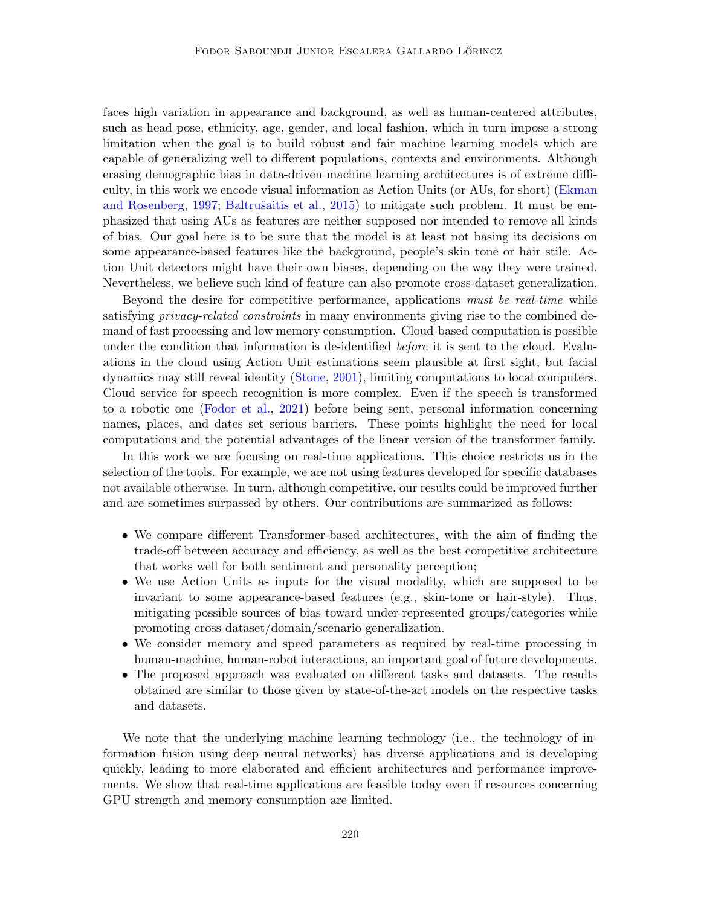faces high variation in appearance and background, as well as human-centered attributes, such as head pose, ethnicity, age, gender, and local fashion, which in turn impose a strong limitation when the goal is to build robust and fair machine learning models which are capable of generalizing well to different populations, contexts and environments. Although erasing demographic bias in data-driven machine learning architectures is of extreme difficulty, in this work we encode visual information as Action Units (or AUs, for short) [\(Ekman](#page-19-2) [and Rosenberg,](#page-19-2) [1997;](#page-19-2) Baltrušaitis et al., [2015\)](#page-18-2) to mitigate such problem. It must be emphasized that using AUs as features are neither supposed nor intended to remove all kinds of bias. Our goal here is to be sure that the model is at least not basing its decisions on some appearance-based features like the background, people's skin tone or hair stile. Action Unit detectors might have their own biases, depending on the way they were trained. Nevertheless, we believe such kind of feature can also promote cross-dataset generalization.

Beyond the desire for competitive performance, applications must be real-time while satisfying *privacy-related constraints* in many environments giving rise to the combined demand of fast processing and low memory consumption. Cloud-based computation is possible under the condition that information is de-identified before it is sent to the cloud. Evaluations in the cloud using Action Unit estimations seem plausible at first sight, but facial dynamics may still reveal identity [\(Stone,](#page-22-6) [2001\)](#page-22-6), limiting computations to local computers. Cloud service for speech recognition is more complex. Even if the speech is transformed to a robotic one [\(Fodor et al.,](#page-20-3) [2021\)](#page-20-3) before being sent, personal information concerning names, places, and dates set serious barriers. These points highlight the need for local computations and the potential advantages of the linear version of the transformer family.

In this work we are focusing on real-time applications. This choice restricts us in the selection of the tools. For example, we are not using features developed for specific databases not available otherwise. In turn, although competitive, our results could be improved further and are sometimes surpassed by others. Our contributions are summarized as follows:

- We compare different Transformer-based architectures, with the aim of finding the trade-off between accuracy and efficiency, as well as the best competitive architecture that works well for both sentiment and personality perception;
- We use Action Units as inputs for the visual modality, which are supposed to be invariant to some appearance-based features (e.g., skin-tone or hair-style). Thus, mitigating possible sources of bias toward under-represented groups/categories while promoting cross-dataset/domain/scenario generalization.
- We consider memory and speed parameters as required by real-time processing in human-machine, human-robot interactions, an important goal of future developments.
- The proposed approach was evaluated on different tasks and datasets. The results obtained are similar to those given by state-of-the-art models on the respective tasks and datasets.

We note that the underlying machine learning technology (i.e., the technology of information fusion using deep neural networks) has diverse applications and is developing quickly, leading to more elaborated and efficient architectures and performance improvements. We show that real-time applications are feasible today even if resources concerning GPU strength and memory consumption are limited.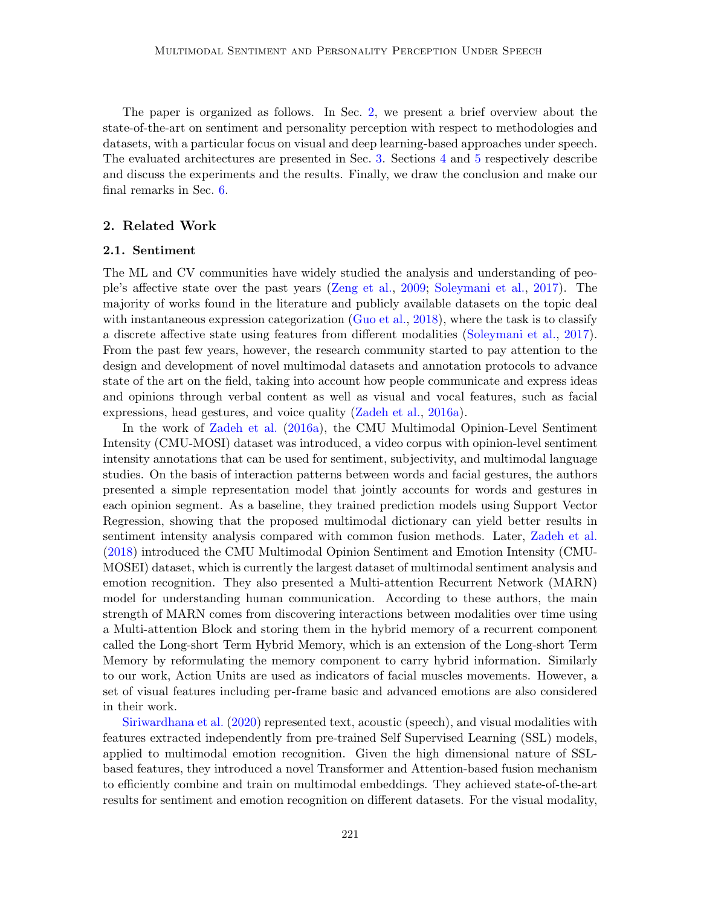The paper is organized as follows. In Sec. [2,](#page-3-0) we present a brief overview about the state-of-the-art on sentiment and personality perception with respect to methodologies and datasets, with a particular focus on visual and deep learning-based approaches under speech. The evaluated architectures are presented in Sec. [3.](#page-5-0) Sections [4](#page-9-0) and [5](#page-13-0) respectively describe and discuss the experiments and the results. Finally, we draw the conclusion and make our final remarks in Sec. [6.](#page-17-0)

### <span id="page-3-0"></span>2. Related Work

## 2.1. Sentiment

The ML and CV communities have widely studied the analysis and understanding of people's affective state over the past years [\(Zeng et al.,](#page-23-1) [2009;](#page-23-1) [Soleymani et al.,](#page-22-1) [2017\)](#page-22-1). The majority of works found in the literature and publicly available datasets on the topic deal with instantaneous expression categorization [\(Guo et al.,](#page-20-1) [2018\)](#page-20-1), where the task is to classify a discrete affective state using features from different modalities [\(Soleymani et al.,](#page-22-1) [2017\)](#page-22-1). From the past few years, however, the research community started to pay attention to the design and development of novel multimodal datasets and annotation protocols to advance state of the art on the field, taking into account how people communicate and express ideas and opinions through verbal content as well as visual and vocal features, such as facial expressions, head gestures, and voice quality [\(Zadeh et al.,](#page-22-7) [2016a\)](#page-22-7).

In the work of [Zadeh et al.](#page-22-7) [\(2016a\)](#page-22-7), the CMU Multimodal Opinion-Level Sentiment Intensity (CMU-MOSI) dataset was introduced, a video corpus with opinion-level sentiment intensity annotations that can be used for sentiment, subjectivity, and multimodal language studies. On the basis of interaction patterns between words and facial gestures, the authors presented a simple representation model that jointly accounts for words and gestures in each opinion segment. As a baseline, they trained prediction models using Support Vector Regression, showing that the proposed multimodal dictionary can yield better results in sentiment intensity analysis compared with common fusion methods. Later, [Zadeh et al.](#page-22-2) [\(2018\)](#page-22-2) introduced the CMU Multimodal Opinion Sentiment and Emotion Intensity (CMU-MOSEI) dataset, which is currently the largest dataset of multimodal sentiment analysis and emotion recognition. They also presented a Multi-attention Recurrent Network (MARN) model for understanding human communication. According to these authors, the main strength of MARN comes from discovering interactions between modalities over time using a Multi-attention Block and storing them in the hybrid memory of a recurrent component called the Long-short Term Hybrid Memory, which is an extension of the Long-short Term Memory by reformulating the memory component to carry hybrid information. Similarly to our work, Action Units are used as indicators of facial muscles movements. However, a set of visual features including per-frame basic and advanced emotions are also considered in their work.

[Siriwardhana et al.](#page-22-5) [\(2020\)](#page-22-5) represented text, acoustic (speech), and visual modalities with features extracted independently from pre-trained Self Supervised Learning (SSL) models, applied to multimodal emotion recognition. Given the high dimensional nature of SSLbased features, they introduced a novel Transformer and Attention-based fusion mechanism to efficiently combine and train on multimodal embeddings. They achieved state-of-the-art results for sentiment and emotion recognition on different datasets. For the visual modality,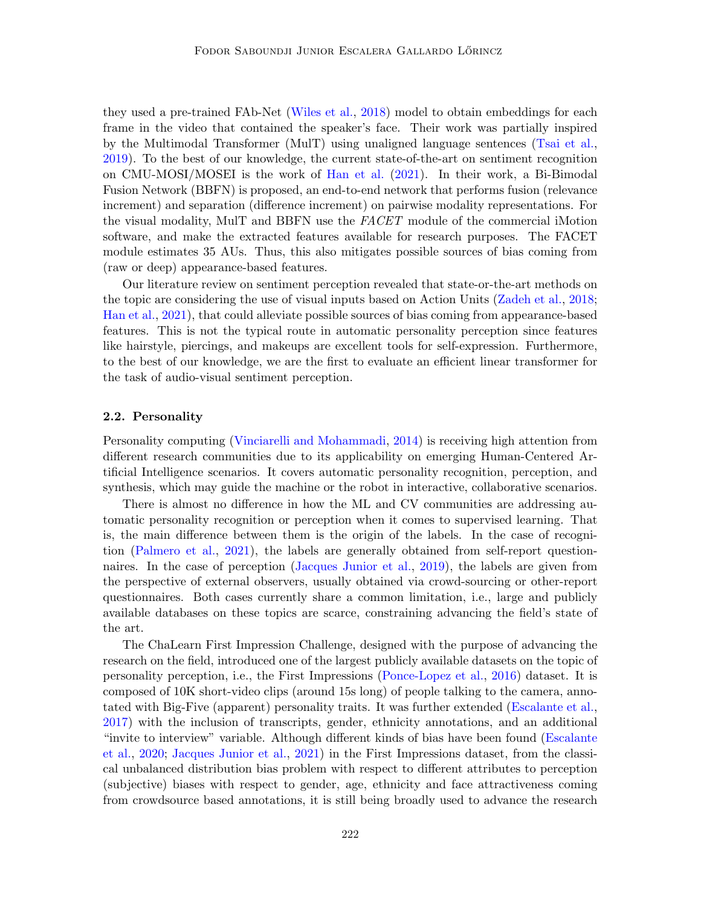they used a pre-trained FAb-Net [\(Wiles et al.,](#page-22-8) [2018\)](#page-22-8) model to obtain embeddings for each frame in the video that contained the speaker's face. Their work was partially inspired by the Multimodal Transformer (MulT) using unaligned language sentences [\(Tsai et al.,](#page-22-9) [2019\)](#page-22-9). To the best of our knowledge, the current state-of-the-art on sentiment recognition on CMU-MOSI/MOSEI is the work of [Han et al.](#page-20-4) [\(2021\)](#page-20-4). In their work, a Bi-Bimodal Fusion Network (BBFN) is proposed, an end-to-end network that performs fusion (relevance increment) and separation (difference increment) on pairwise modality representations. For the visual modality, MulT and BBFN use the FACET module of the commercial iMotion software, and make the extracted features available for research purposes. The FACET module estimates 35 AUs. Thus, this also mitigates possible sources of bias coming from (raw or deep) appearance-based features.

Our literature review on sentiment perception revealed that state-or-the-art methods on the topic are considering the use of visual inputs based on Action Units [\(Zadeh et al.,](#page-22-2) [2018;](#page-22-2) [Han et al.,](#page-20-4) [2021\)](#page-20-4), that could alleviate possible sources of bias coming from appearance-based features. This is not the typical route in automatic personality perception since features like hairstyle, piercings, and makeups are excellent tools for self-expression. Furthermore, to the best of our knowledge, we are the first to evaluate an efficient linear transformer for the task of audio-visual sentiment perception.

#### 2.2. Personality

Personality computing [\(Vinciarelli and Mohammadi,](#page-22-0) [2014\)](#page-22-0) is receiving high attention from different research communities due to its applicability on emerging Human-Centered Artificial Intelligence scenarios. It covers automatic personality recognition, perception, and synthesis, which may guide the machine or the robot in interactive, collaborative scenarios.

There is almost no difference in how the ML and CV communities are addressing automatic personality recognition or perception when it comes to supervised learning. That is, the main difference between them is the origin of the labels. In the case of recognition [\(Palmero et al.,](#page-21-3) [2021\)](#page-21-3), the labels are generally obtained from self-report questionnaires. In the case of perception [\(Jacques Junior et al.,](#page-20-0) [2019\)](#page-20-0), the labels are given from the perspective of external observers, usually obtained via crowd-sourcing or other-report questionnaires. Both cases currently share a common limitation, i.e., large and publicly available databases on these topics are scarce, constraining advancing the field's state of the art.

The ChaLearn First Impression Challenge, designed with the purpose of advancing the research on the field, introduced one of the largest publicly available datasets on the topic of personality perception, i.e., the First Impressions [\(Ponce-Lopez et al.,](#page-21-5) [2016\)](#page-21-5) dataset. It is composed of 10K short-video clips (around 15s long) of people talking to the camera, annotated with Big-Five (apparent) personality traits. It was further extended [\(Escalante et al.,](#page-19-3) [2017\)](#page-19-3) with the inclusion of transcripts, gender, ethnicity annotations, and an additional "invite to interview" variable. Although different kinds of bias have been found [\(Escalante](#page-19-4) [et al.,](#page-19-4) [2020;](#page-19-4) [Jacques Junior et al.,](#page-20-5) [2021\)](#page-20-5) in the First Impressions dataset, from the classical unbalanced distribution bias problem with respect to different attributes to perception (subjective) biases with respect to gender, age, ethnicity and face attractiveness coming from crowdsource based annotations, it is still being broadly used to advance the research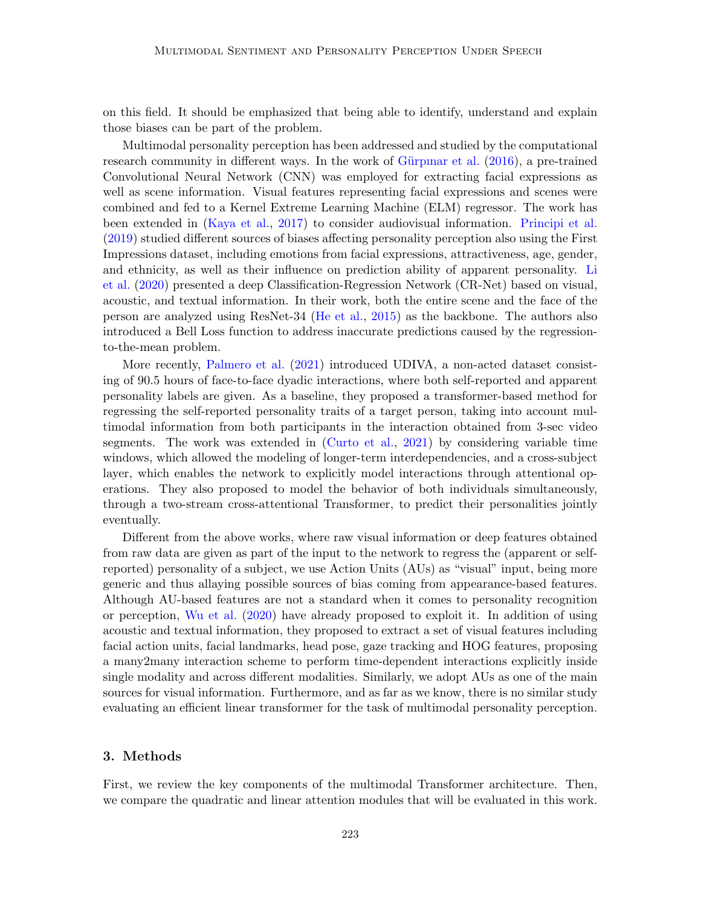on this field. It should be emphasized that being able to identify, understand and explain those biases can be part of the problem.

Multimodal personality perception has been addressed and studied by the computational research community in different ways. In the work of Gürpinar et al. [\(2016\)](#page-20-6), a pre-trained Convolutional Neural Network (CNN) was employed for extracting facial expressions as well as scene information. Visual features representing facial expressions and scenes were combined and fed to a Kernel Extreme Learning Machine (ELM) regressor. The work has been extended in [\(Kaya et al.,](#page-21-6) [2017\)](#page-21-6) to consider audiovisual information. [Principi et al.](#page-21-7) [\(2019\)](#page-21-7) studied different sources of biases affecting personality perception also using the First Impressions dataset, including emotions from facial expressions, attractiveness, age, gender, and ethnicity, as well as their influence on prediction ability of apparent personality. [Li](#page-21-8) [et al.](#page-21-8) [\(2020\)](#page-21-8) presented a deep Classification-Regression Network (CR-Net) based on visual, acoustic, and textual information. In their work, both the entire scene and the face of the person are analyzed using ResNet-34 [\(He et al.,](#page-20-7) [2015\)](#page-20-7) as the backbone. The authors also introduced a Bell Loss function to address inaccurate predictions caused by the regressionto-the-mean problem.

More recently, [Palmero et al.](#page-21-3) [\(2021\)](#page-21-3) introduced UDIVA, a non-acted dataset consisting of 90.5 hours of face-to-face dyadic interactions, where both self-reported and apparent personality labels are given. As a baseline, they proposed a transformer-based method for regressing the self-reported personality traits of a target person, taking into account multimodal information from both participants in the interaction obtained from 3-sec video segments. The work was extended in [\(Curto et al.,](#page-19-5) [2021\)](#page-19-5) by considering variable time windows, which allowed the modeling of longer-term interdependencies, and a cross-subject layer, which enables the network to explicitly model interactions through attentional operations. They also proposed to model the behavior of both individuals simultaneously, through a two-stream cross-attentional Transformer, to predict their personalities jointly eventually.

Different from the above works, where raw visual information or deep features obtained from raw data are given as part of the input to the network to regress the (apparent or selfreported) personality of a subject, we use Action Units (AUs) as "visual" input, being more generic and thus allaying possible sources of bias coming from appearance-based features. Although AU-based features are not a standard when it comes to personality recognition or perception, [Wu et al.](#page-22-10) [\(2020\)](#page-22-10) have already proposed to exploit it. In addition of using acoustic and textual information, they proposed to extract a set of visual features including facial action units, facial landmarks, head pose, gaze tracking and HOG features, proposing a many2many interaction scheme to perform time-dependent interactions explicitly inside single modality and across different modalities. Similarly, we adopt AUs as one of the main sources for visual information. Furthermore, and as far as we know, there is no similar study evaluating an efficient linear transformer for the task of multimodal personality perception.

## <span id="page-5-0"></span>3. Methods

First, we review the key components of the multimodal Transformer architecture. Then, we compare the quadratic and linear attention modules that will be evaluated in this work.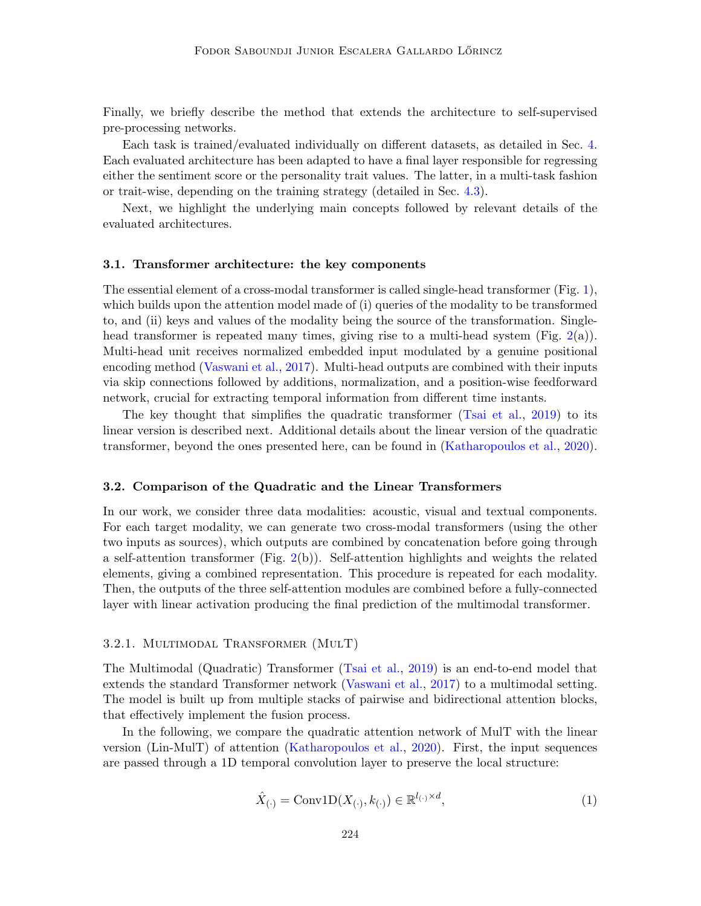Finally, we briefly describe the method that extends the architecture to self-supervised pre-processing networks.

Each task is trained/evaluated individually on different datasets, as detailed in Sec. [4.](#page-9-0) Each evaluated architecture has been adapted to have a final layer responsible for regressing either the sentiment score or the personality trait values. The latter, in a multi-task fashion or trait-wise, depending on the training strategy (detailed in Sec. [4.3\)](#page-12-0).

Next, we highlight the underlying main concepts followed by relevant details of the evaluated architectures.

#### 3.1. Transformer architecture: the key components

The essential element of a cross-modal transformer is called single-head transformer (Fig. [1\)](#page-7-0), which builds upon the attention model made of (i) queries of the modality to be transformed to, and (ii) keys and values of the modality being the source of the transformation. Single-head transformer is repeated many times, giving rise to a multi-head system (Fig. [2\(](#page-8-0)a)). Multi-head unit receives normalized embedded input modulated by a genuine positional encoding method [\(Vaswani et al.,](#page-22-4) [2017\)](#page-22-4). Multi-head outputs are combined with their inputs via skip connections followed by additions, normalization, and a position-wise feedforward network, crucial for extracting temporal information from different time instants.

The key thought that simplifies the quadratic transformer [\(Tsai et al.,](#page-22-9) [2019\)](#page-22-9) to its linear version is described next. Additional details about the linear version of the quadratic transformer, beyond the ones presented here, can be found in [\(Katharopoulos et al.,](#page-20-8) [2020\)](#page-20-8).

#### <span id="page-6-0"></span>3.2. Comparison of the Quadratic and the Linear Transformers

In our work, we consider three data modalities: acoustic, visual and textual components. For each target modality, we can generate two cross-modal transformers (using the other two inputs as sources), which outputs are combined by concatenation before going through a self-attention transformer (Fig. [2\(](#page-8-0)b)). Self-attention highlights and weights the related elements, giving a combined representation. This procedure is repeated for each modality. Then, the outputs of the three self-attention modules are combined before a fully-connected layer with linear activation producing the final prediction of the multimodal transformer.

#### 3.2.1. Multimodal Transformer (MulT)

The Multimodal (Quadratic) Transformer [\(Tsai et al.,](#page-22-9) [2019\)](#page-22-9) is an end-to-end model that extends the standard Transformer network [\(Vaswani et al.,](#page-22-4) [2017\)](#page-22-4) to a multimodal setting. The model is built up from multiple stacks of pairwise and bidirectional attention blocks, that effectively implement the fusion process.

In the following, we compare the quadratic attention network of MulT with the linear version (Lin-MulT) of attention [\(Katharopoulos et al.,](#page-20-8) [2020\)](#page-20-8). First, the input sequences are passed through a 1D temporal convolution layer to preserve the local structure:

$$
\hat{X}_{(\cdot)} = \text{Conv1D}(X_{(\cdot)}, k_{(\cdot)}) \in \mathbb{R}^{l_{(\cdot)} \times d},\tag{1}
$$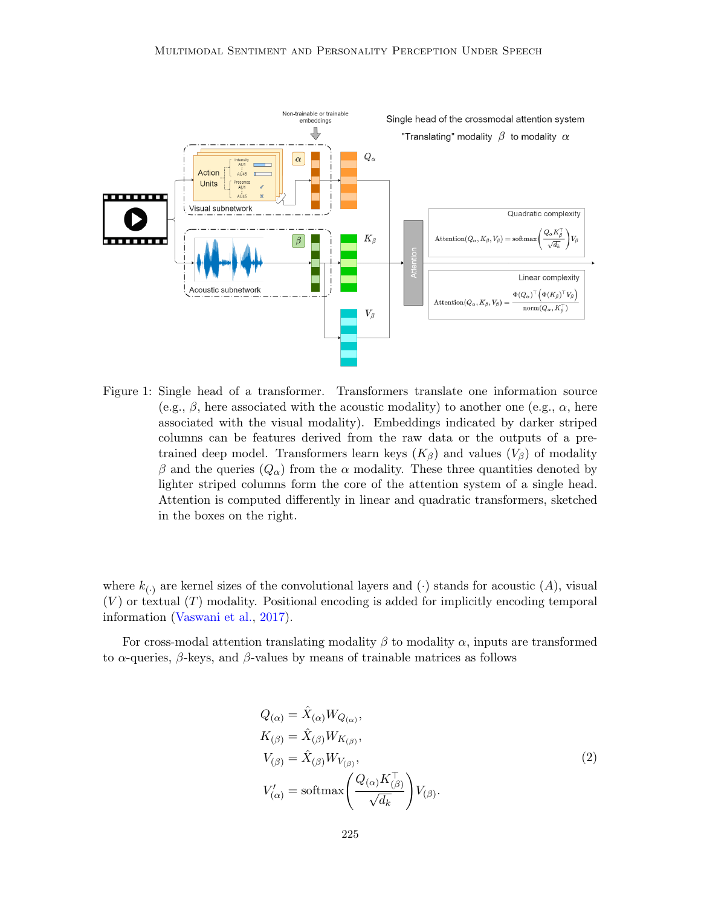

<span id="page-7-0"></span>Figure 1: Single head of a transformer. Transformers translate one information source (e.g.,  $\beta$ , here associated with the acoustic modality) to another one (e.g.,  $\alpha$ , here associated with the visual modality). Embeddings indicated by darker striped columns can be features derived from the raw data or the outputs of a pretrained deep model. Transformers learn keys  $(K_\beta)$  and values  $(V_\beta)$  of modality β and the queries  $(Q<sub>α</sub>)$  from the  $α$  modality. These three quantities denoted by lighter striped columns form the core of the attention system of a single head. Attention is computed differently in linear and quadratic transformers, sketched in the boxes on the right.

where  $k_{(.)}$  are kernel sizes of the convolutional layers and  $(\cdot)$  stands for acoustic  $(A)$ , visual  $(V)$  or textual  $(T)$  modality. Positional encoding is added for implicitly encoding temporal information [\(Vaswani et al.,](#page-22-4) [2017\)](#page-22-4).

<span id="page-7-1"></span>For cross-modal attention translating modality  $\beta$  to modality  $\alpha$ , inputs are transformed to  $\alpha$ -queries,  $\beta$ -keys, and  $\beta$ -values by means of trainable matrices as follows

$$
Q_{(\alpha)} = \hat{X}_{(\alpha)} W_{Q_{(\alpha)}},
$$
  
\n
$$
K_{(\beta)} = \hat{X}_{(\beta)} W_{K_{(\beta)}},
$$
  
\n
$$
V_{(\beta)} = \hat{X}_{(\beta)} W_{V_{(\beta)}},
$$
  
\n
$$
V'_{(\alpha)} = \text{softmax}\left(\frac{Q_{(\alpha)} K_{(\beta)}^{\top}}{\sqrt{d_k}}\right) V_{(\beta)}.
$$
\n(2)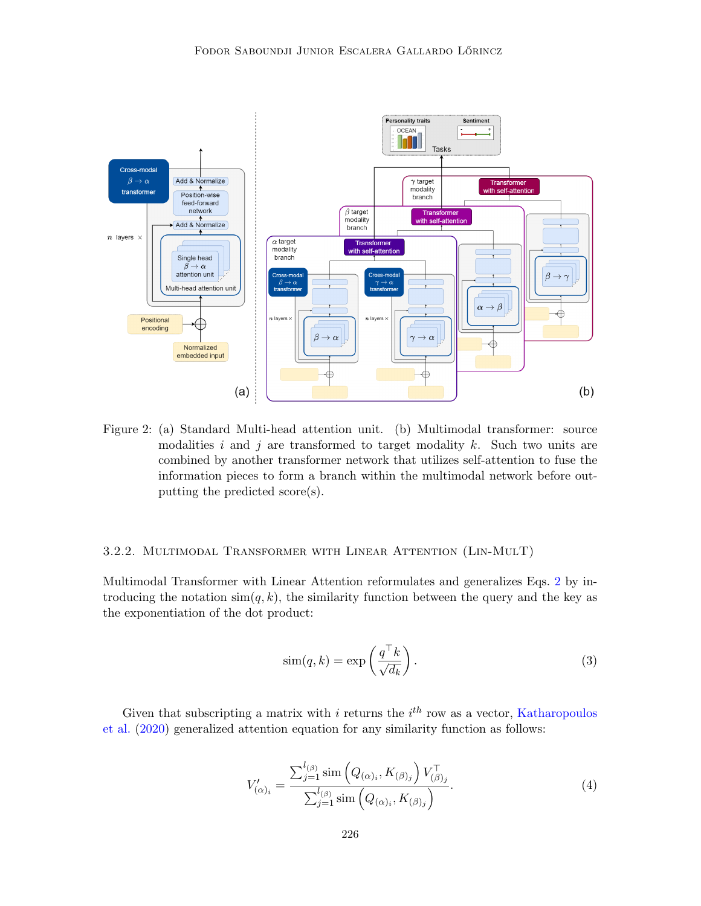

<span id="page-8-0"></span>Figure 2: (a) Standard Multi-head attention unit. (b) Multimodal transformer: source modalities i and j are transformed to target modality k. Such two units are combined by another transformer network that utilizes self-attention to fuse the information pieces to form a branch within the multimodal network before outputting the predicted score(s).

#### 3.2.2. Multimodal Transformer with Linear Attention (Lin-MulT)

Multimodal Transformer with Linear Attention reformulates and generalizes Eqs. [2](#page-7-1) by introducing the notation  $\sin(q, k)$ , the similarity function between the query and the key as the exponentiation of the dot product:

$$
\text{sim}(q, k) = \exp\left(\frac{q^{\top} k}{\sqrt{d_k}}\right). \tag{3}
$$

<span id="page-8-1"></span>Given that subscripting a matrix with i returns the  $i<sup>th</sup>$  row as a vector, [Katharopoulos](#page-20-8) [et al.](#page-20-8) [\(2020\)](#page-20-8) generalized attention equation for any similarity function as follows:

$$
V'_{(\alpha)_i} = \frac{\sum_{j=1}^{l_{(\beta)}} \text{sim} \left( Q_{(\alpha)_i}, K_{(\beta)_j} \right) V_{(\beta)_j}^{\top}}{\sum_{j=1}^{l_{(\beta)}} \text{sim} \left( Q_{(\alpha)_i}, K_{(\beta)_j} \right)}.
$$
\n(4)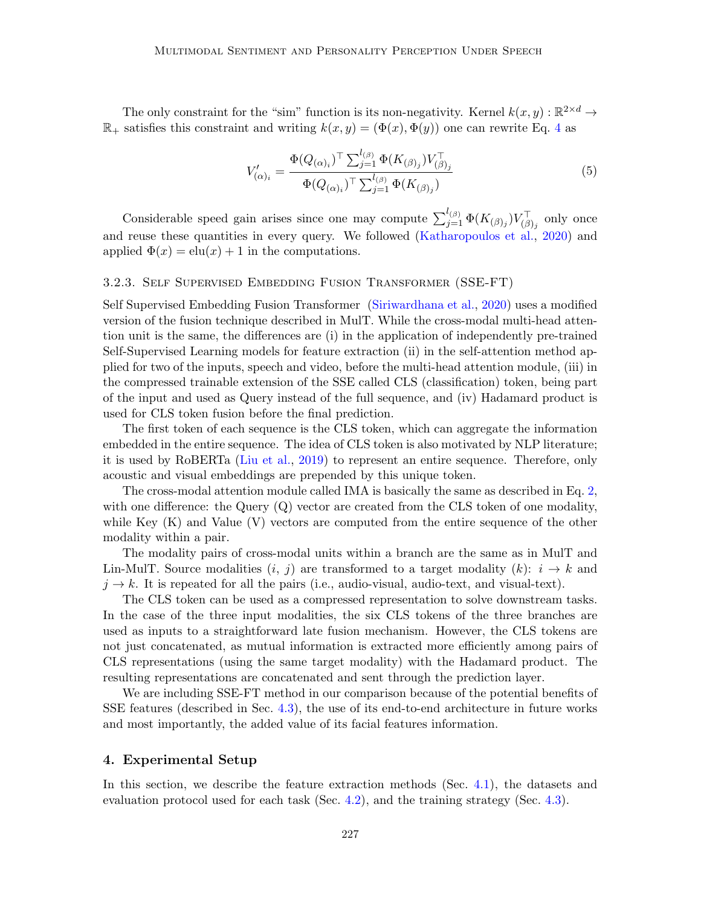The only constraint for the "sim" function is its non-negativity. Kernel  $k(x, y) : \mathbb{R}^{2 \times d} \to$  $\mathbb{R}_+$  satisfies this constraint and writing  $k(x, y) = (\Phi(x), \Phi(y))$  one can rewrite Eq. [4](#page-8-1) as

$$
V'_{(\alpha)_i} = \frac{\Phi(Q_{(\alpha)_i})^{\top} \sum_{j=1}^{l_{(\beta)}} \Phi(K_{(\beta)_j}) V_{(\beta)_j}^{\top}}{\Phi(Q_{(\alpha)_i})^{\top} \sum_{j=1}^{l_{(\beta)}} \Phi(K_{(\beta)_j})}
$$
(5)

Considerable speed gain arises since one may compute  $\sum_{j=1}^{l_{(\beta)}} \Phi(K_{(\beta)_j}) V_{(\beta)_j}^{\top}$  only once and reuse these quantities in every query. We followed [\(Katharopoulos et al.,](#page-20-8) [2020\)](#page-20-8) and applied  $\Phi(x) = \text{elu}(x) + 1$  in the computations.

## 3.2.3. Self Supervised Embedding Fusion Transformer (SSE-FT)

Self Supervised Embedding Fusion Transformer [\(Siriwardhana et al.,](#page-22-5) [2020\)](#page-22-5) uses a modified version of the fusion technique described in MulT. While the cross-modal multi-head attention unit is the same, the differences are (i) in the application of independently pre-trained Self-Supervised Learning models for feature extraction (ii) in the self-attention method applied for two of the inputs, speech and video, before the multi-head attention module, (iii) in the compressed trainable extension of the SSE called CLS (classification) token, being part of the input and used as Query instead of the full sequence, and (iv) Hadamard product is used for CLS token fusion before the final prediction.

The first token of each sequence is the CLS token, which can aggregate the information embedded in the entire sequence. The idea of CLS token is also motivated by NLP literature; it is used by RoBERTa [\(Liu et al.,](#page-21-9) [2019\)](#page-21-9) to represent an entire sequence. Therefore, only acoustic and visual embeddings are prepended by this unique token.

The cross-modal attention module called IMA is basically the same as described in Eq. [2,](#page-7-1) with one difference: the Query (Q) vector are created from the CLS token of one modality, while Key (K) and Value (V) vectors are computed from the entire sequence of the other modality within a pair.

The modality pairs of cross-modal units within a branch are the same as in MulT and Lin-MulT. Source modalities  $(i, j)$  are transformed to a target modality  $(k): i \rightarrow k$  and  $j \rightarrow k$ . It is repeated for all the pairs (i.e., audio-visual, audio-text, and visual-text).

The CLS token can be used as a compressed representation to solve downstream tasks. In the case of the three input modalities, the six CLS tokens of the three branches are used as inputs to a straightforward late fusion mechanism. However, the CLS tokens are not just concatenated, as mutual information is extracted more efficiently among pairs of CLS representations (using the same target modality) with the Hadamard product. The resulting representations are concatenated and sent through the prediction layer.

We are including SSE-FT method in our comparison because of the potential benefits of SSE features (described in Sec. [4.3\)](#page-12-0), the use of its end-to-end architecture in future works and most importantly, the added value of its facial features information.

## <span id="page-9-0"></span>4. Experimental Setup

In this section, we describe the feature extraction methods (Sec. [4.1\)](#page-10-0), the datasets and evaluation protocol used for each task (Sec. [4.2\)](#page-11-0), and the training strategy (Sec. [4.3\)](#page-12-0).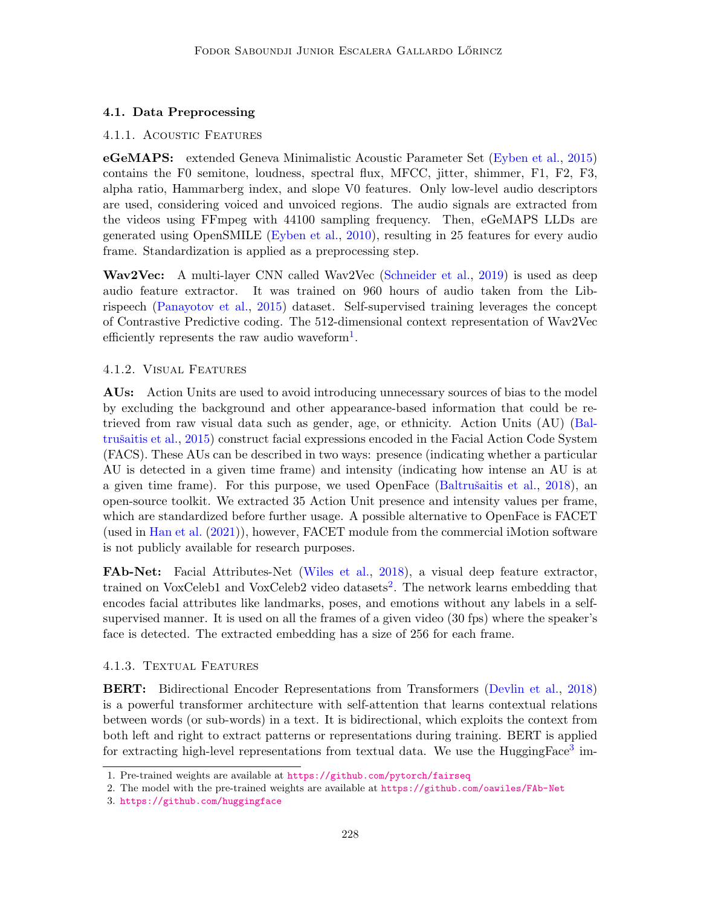# <span id="page-10-0"></span>4.1. Data Preprocessing

## 4.1.1. ACOUSTIC FEATURES

eGeMAPS: extended Geneva Minimalistic Acoustic Parameter Set [\(Eyben et al.,](#page-20-9) [2015\)](#page-20-9) contains the F0 semitone, loudness, spectral flux, MFCC, jitter, shimmer, F1, F2, F3, alpha ratio, Hammarberg index, and slope V0 features. Only low-level audio descriptors are used, considering voiced and unvoiced regions. The audio signals are extracted from the videos using FFmpeg with 44100 sampling frequency. Then, eGeMAPS LLDs are generated using OpenSMILE [\(Eyben et al.,](#page-20-10) [2010\)](#page-20-10), resulting in 25 features for every audio frame. Standardization is applied as a preprocessing step.

Wav2Vec: A multi-layer CNN called Wav2Vec [\(Schneider et al.,](#page-21-10) [2019\)](#page-21-10) is used as deep audio feature extractor. It was trained on 960 hours of audio taken from the Librispeech [\(Panayotov et al.,](#page-21-11) [2015\)](#page-21-11) dataset. Self-supervised training leverages the concept of Contrastive Predictive coding. The 512-dimensional context representation of Wav2Vec efficiently represents the raw audio waveform<sup>[1](#page-10-1)</sup>.

## 4.1.2. Visual Features

AUs: Action Units are used to avoid introducing unnecessary sources of bias to the model by excluding the background and other appearance-based information that could be retrieved from raw visual data such as gender, age, or ethnicity. Action Units (AU) [\(Bal-](#page-18-2)trušaitis et al., [2015\)](#page-18-2) construct facial expressions encoded in the Facial Action Code System (FACS). These AUs can be described in two ways: presence (indicating whether a particular AU is detected in a given time frame) and intensity (indicating how intense an AU is at a given time frame). For this purpose, we used OpenFace (Baltrušaitis et al., [2018\)](#page-18-3), an open-source toolkit. We extracted 35 Action Unit presence and intensity values per frame, which are standardized before further usage. A possible alternative to OpenFace is FACET (used in [Han et al.](#page-20-4) [\(2021\)](#page-20-4)), however, FACET module from the commercial iMotion software is not publicly available for research purposes.

FAb-Net: Facial Attributes-Net [\(Wiles et al.,](#page-22-8) [2018\)](#page-22-8), a visual deep feature extractor, trained on VoxCeleb1 and VoxCeleb[2](#page-10-2) video datasets<sup>2</sup>. The network learns embedding that encodes facial attributes like landmarks, poses, and emotions without any labels in a selfsupervised manner. It is used on all the frames of a given video (30 fps) where the speaker's face is detected. The extracted embedding has a size of 256 for each frame.

## 4.1.3. Textual Features

BERT: Bidirectional Encoder Representations from Transformers [\(Devlin et al.,](#page-19-6) [2018\)](#page-19-6) is a powerful transformer architecture with self-attention that learns contextual relations between words (or sub-words) in a text. It is bidirectional, which exploits the context from both left and right to extract patterns or representations during training. BERT is applied for extracting high-level representations from textual data. We use the HuggingFace<sup>[3](#page-10-3)</sup> im-

<span id="page-10-1"></span><sup>1.</sup> Pre-trained weights are available at <https://github.com/pytorch/fairseq>

<span id="page-10-2"></span><sup>2.</sup> The model with the pre-trained weights are available at <https://github.com/oawiles/FAb-Net>

<span id="page-10-3"></span><sup>3.</sup> <https://github.com/huggingface>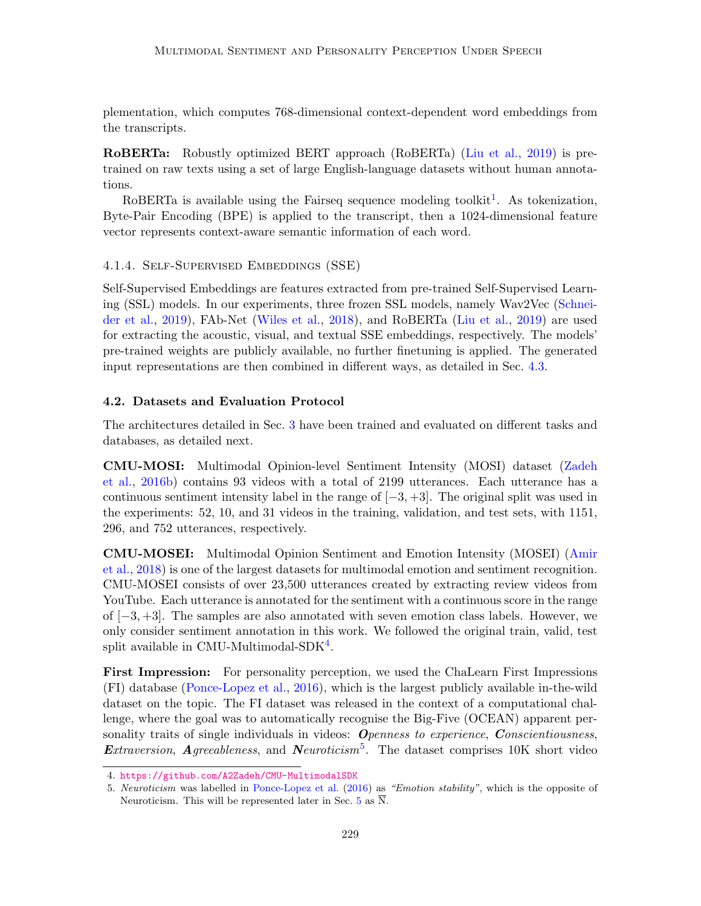plementation, which computes 768-dimensional context-dependent word embeddings from the transcripts.

RoBERTa: Robustly optimized BERT approach (RoBERTa) [\(Liu et al.,](#page-21-9) [2019\)](#page-21-9) is pretrained on raw texts using a set of large English-language datasets without human annotations.

RoBERTa is available using the Fairseq sequence modeling toolkit<sup>[1](#page-10-1)</sup>. As tokenization, Byte-Pair Encoding (BPE) is applied to the transcript, then a 1024-dimensional feature vector represents context-aware semantic information of each word.

4.1.4. Self-Supervised Embeddings (SSE)

Self-Supervised Embeddings are features extracted from pre-trained Self-Supervised Learning (SSL) models. In our experiments, three frozen SSL models, namely Wav2Vec [\(Schnei](#page-21-10)[der et al.,](#page-21-10) [2019\)](#page-21-10), FAb-Net [\(Wiles et al.,](#page-22-8) [2018\)](#page-22-8), and RoBERTa [\(Liu et al.,](#page-21-9) [2019\)](#page-21-9) are used for extracting the acoustic, visual, and textual SSE embeddings, respectively. The models' pre-trained weights are publicly available, no further finetuning is applied. The generated input representations are then combined in different ways, as detailed in Sec. [4.3.](#page-12-0)

## <span id="page-11-0"></span>4.2. Datasets and Evaluation Protocol

The architectures detailed in Sec. [3](#page-5-0) have been trained and evaluated on different tasks and databases, as detailed next.

CMU-MOSI: Multimodal Opinion-level Sentiment Intensity (MOSI) dataset [\(Zadeh](#page-22-11) [et al.,](#page-22-11) [2016b\)](#page-22-11) contains 93 videos with a total of 2199 utterances. Each utterance has a continuous sentiment intensity label in the range of  $[-3, +3]$ . The original split was used in the experiments: 52, 10, and 31 videos in the training, validation, and test sets, with 1151, 296, and 752 utterances, respectively.

CMU-MOSEI: Multimodal Opinion Sentiment and Emotion Intensity (MOSEI) [\(Amir](#page-18-4) [et al.,](#page-18-4) [2018\)](#page-18-4) is one of the largest datasets for multimodal emotion and sentiment recognition. CMU-MOSEI consists of over 23,500 utterances created by extracting review videos from YouTube. Each utterance is annotated for the sentiment with a continuous score in the range of [−3, +3]. The samples are also annotated with seven emotion class labels. However, we only consider sentiment annotation in this work. We followed the original train, valid, test split available in CMU-Multimodal-SDK<sup>[4](#page-11-1)</sup>.

First Impression: For personality perception, we used the ChaLearn First Impressions (FI) database [\(Ponce-Lopez et al.,](#page-21-5) [2016\)](#page-21-5), which is the largest publicly available in-the-wild dataset on the topic. The FI dataset was released in the context of a computational challenge, where the goal was to automatically recognise the Big-Five (OCEAN) apparent personality traits of single individuals in videos:  $O$ *penness to experience, Conscientiousness,* Extraversion, Agreeableness, and Neuroticism<sup>[5](#page-11-2)</sup>. The dataset comprises 10K short video

<span id="page-11-1"></span><sup>4.</sup> <https://github.com/A2Zadeh/CMU-MultimodalSDK>

<span id="page-11-2"></span><sup>5.</sup> Neuroticism was labelled in [Ponce-Lopez et al.](#page-21-5) [\(2016\)](#page-21-5) as "Emotion stability", which is the opposite of Neuroticism. This will be represented later in Sec. [5](#page-13-0) as  $\overline{N}$ .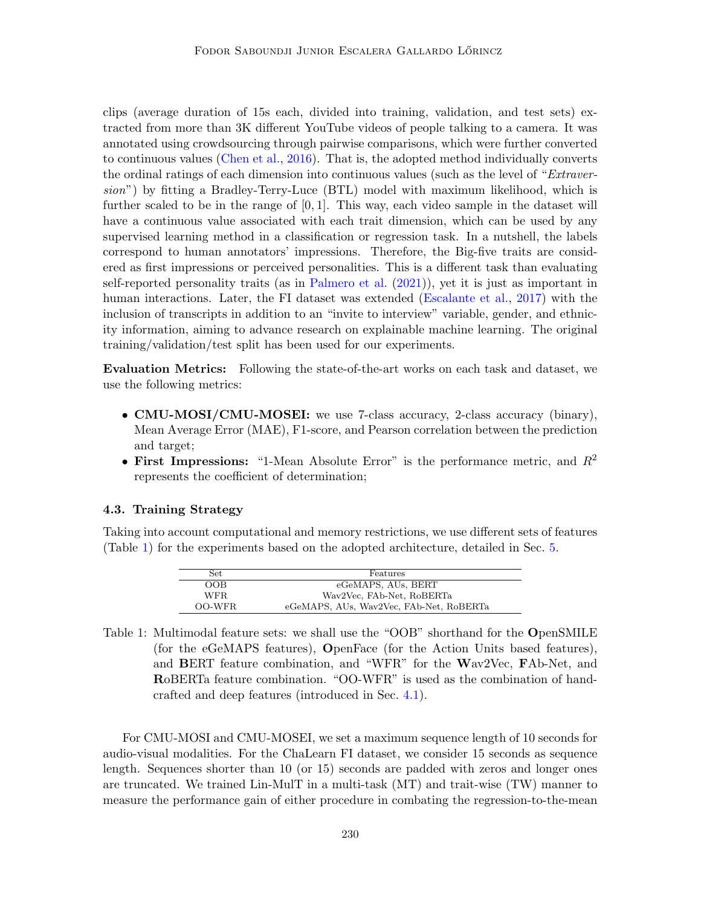clips (average duration of 15s each, divided into training, validation, and test sets) extracted from more than 3K different YouTube videos of people talking to a camera. It was annotated using crowdsourcing through pairwise comparisons, which were further converted to continuous values [\(Chen et al.,](#page-19-7) [2016\)](#page-19-7). That is, the adopted method individually converts the ordinal ratings of each dimension into continuous values (such as the level of "Extraversion") by fitting a Bradley-Terry-Luce (BTL) model with maximum likelihood, which is further scaled to be in the range of  $[0, 1]$ . This way, each video sample in the dataset will have a continuous value associated with each trait dimension, which can be used by any supervised learning method in a classification or regression task. In a nutshell, the labels correspond to human annotators' impressions. Therefore, the Big-five traits are considered as first impressions or perceived personalities. This is a different task than evaluating self-reported personality traits (as in [Palmero et al.](#page-21-3) [\(2021\)](#page-21-3)), yet it is just as important in human interactions. Later, the FI dataset was extended [\(Escalante et al.,](#page-19-8) [2017\)](#page-19-8) with the inclusion of transcripts in addition to an "invite to interview" variable, gender, and ethnicity information, aiming to advance research on explainable machine learning. The original training/validation/test split has been used for our experiments.

Evaluation Metrics: Following the state-of-the-art works on each task and dataset, we use the following metrics:

- CMU-MOSI/CMU-MOSEI: we use 7-class accuracy, 2-class accuracy (binary), Mean Average Error (MAE), F1-score, and Pearson correlation between the prediction and target;
- First Impressions: "1-Mean Absolute Error" is the performance metric, and  $R^2$ represents the coefficient of determination;

#### <span id="page-12-0"></span>4.3. Training Strategy

Taking into account computational and memory restrictions, we use different sets of features (Table [1\)](#page-12-1) for the experiments based on the adopted architecture, detailed in Sec. [5.](#page-13-0)

| Set    | Features                                |
|--------|-----------------------------------------|
| OOB    | eGeMAPS, AUs, BERT                      |
| WFR.   | Wav2Vec, FAb-Net, RoBERTa               |
| OO-WFR | eGeMAPS, AUs, Wav2Vec, FAb-Net, RoBERTa |

<span id="page-12-1"></span>Table 1: Multimodal feature sets: we shall use the "OOB" shorthand for the OpenSMILE (for the eGeMAPS features), OpenFace (for the Action Units based features), and BERT feature combination, and "WFR" for the Wav2Vec, FAb-Net, and RoBERTa feature combination. "OO-WFR" is used as the combination of handcrafted and deep features (introduced in Sec. [4.1\)](#page-10-0).

For CMU-MOSI and CMU-MOSEI, we set a maximum sequence length of 10 seconds for audio-visual modalities. For the ChaLearn FI dataset, we consider 15 seconds as sequence length. Sequences shorter than 10 (or 15) seconds are padded with zeros and longer ones are truncated. We trained Lin-MulT in a multi-task (MT) and trait-wise (TW) manner to measure the performance gain of either procedure in combating the regression-to-the-mean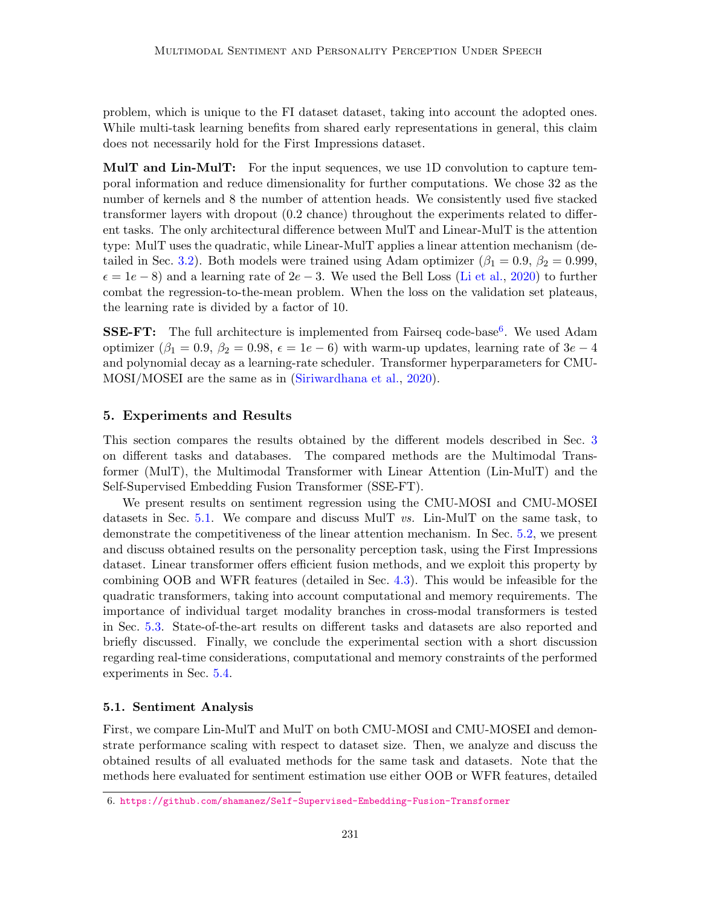problem, which is unique to the FI dataset dataset, taking into account the adopted ones. While multi-task learning benefits from shared early representations in general, this claim does not necessarily hold for the First Impressions dataset.

**MulT and Lin-MulT:** For the input sequences, we use 1D convolution to capture temporal information and reduce dimensionality for further computations. We chose 32 as the number of kernels and 8 the number of attention heads. We consistently used five stacked transformer layers with dropout (0.2 chance) throughout the experiments related to different tasks. The only architectural difference between MulT and Linear-MulT is the attention type: MulT uses the quadratic, while Linear-MulT applies a linear attention mechanism (de-tailed in Sec. [3.2\)](#page-6-0). Both models were trained using Adam optimizer ( $\beta_1 = 0.9$ ,  $\beta_2 = 0.999$ ,  $\epsilon = 1e - 8$ ) and a learning rate of  $2e - 3$ . We used the Bell Loss [\(Li et al.,](#page-21-8) [2020\)](#page-21-8) to further combat the regression-to-the-mean problem. When the loss on the validation set plateaus, the learning rate is divided by a factor of 10.

**SSE-FT:** The full architecture is implemented from Fairseq code-base<sup>[6](#page-13-1)</sup>. We used Adam optimizer ( $\beta_1 = 0.9$ ,  $\beta_2 = 0.98$ ,  $\epsilon = 1e - 6$ ) with warm-up updates, learning rate of  $3e - 4$ and polynomial decay as a learning-rate scheduler. Transformer hyperparameters for CMU-MOSI/MOSEI are the same as in [\(Siriwardhana et al.,](#page-22-5) [2020\)](#page-22-5).

#### <span id="page-13-0"></span>5. Experiments and Results

This section compares the results obtained by the different models described in Sec. [3](#page-5-0) on different tasks and databases. The compared methods are the Multimodal Transformer (MulT), the Multimodal Transformer with Linear Attention (Lin-MulT) and the Self-Supervised Embedding Fusion Transformer (SSE-FT).

We present results on sentiment regression using the CMU-MOSI and CMU-MOSEI datasets in Sec. [5.1.](#page-13-2) We compare and discuss MulT  $vs.$  Lin-MulT on the same task, to demonstrate the competitiveness of the linear attention mechanism. In Sec. [5.2,](#page-15-0) we present and discuss obtained results on the personality perception task, using the First Impressions dataset. Linear transformer offers efficient fusion methods, and we exploit this property by combining OOB and WFR features (detailed in Sec. [4.3\)](#page-12-0). This would be infeasible for the quadratic transformers, taking into account computational and memory requirements. The importance of individual target modality branches in cross-modal transformers is tested in Sec. [5.3.](#page-16-0) State-of-the-art results on different tasks and datasets are also reported and briefly discussed. Finally, we conclude the experimental section with a short discussion regarding real-time considerations, computational and memory constraints of the performed experiments in Sec. [5.4.](#page-17-1)

#### <span id="page-13-2"></span>5.1. Sentiment Analysis

First, we compare Lin-MulT and MulT on both CMU-MOSI and CMU-MOSEI and demonstrate performance scaling with respect to dataset size. Then, we analyze and discuss the obtained results of all evaluated methods for the same task and datasets. Note that the methods here evaluated for sentiment estimation use either OOB or WFR features, detailed

<span id="page-13-1"></span><sup>6.</sup> <https://github.com/shamanez/Self-Supervised-Embedding-Fusion-Transformer>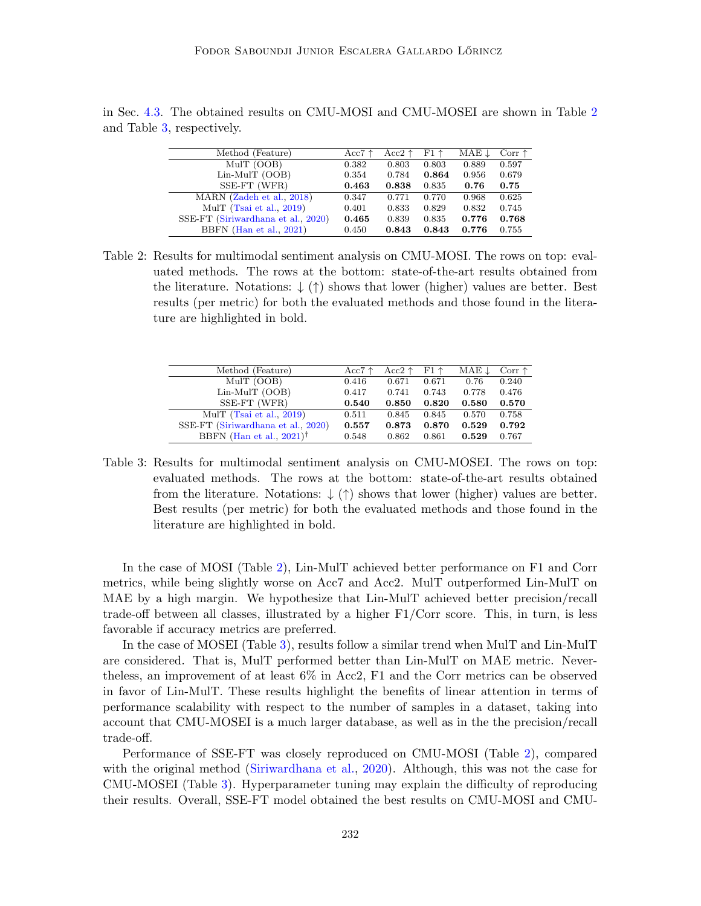| Method (Feature)                   | Acc $7 \uparrow$ | Acc2 $\uparrow$ | $F1 \uparrow$ | MAE 1 | Corr $\uparrow$ |
|------------------------------------|------------------|-----------------|---------------|-------|-----------------|
| MulT (OOB)                         | 0.382            | 0.803           | 0.803         | 0.889 | 0.597           |
| $Lin-MuIT$ (OOB)                   | 0.354            | 0.784           | 0.864         | 0.956 | 0.679           |
| SSE-FT (WFR)                       | 0.463            | 0.838           | 0.835         | 0.76  | 0.75            |
| MARN (Zadeh et al., 2018)          | 0.347            | 0.771           | 0.770         | 0.968 | 0.625           |
| MulT (Tsai et al., 2019)           | 0.401            | 0.833           | 0.829         | 0.832 | 0.745           |
| SSE-FT (Siriwardhana et al., 2020) | 0.465            | 0.839           | 0.835         | 0.776 | 0.768           |
| BBFN (Han et al., 2021)            | 0.450            | 0.843           | 0.843         | 0.776 | 0.755           |

in Sec. [4.3.](#page-12-0) The obtained results on CMU-MOSI and CMU-MOSEI are shown in Table [2](#page-14-0) and Table [3,](#page-14-1) respectively.

<span id="page-14-0"></span>Table 2: Results for multimodal sentiment analysis on CMU-MOSI. The rows on top: evaluated methods. The rows at the bottom: state-of-the-art results obtained from the literature. Notations:  $\downarrow$  ( $\uparrow$ ) shows that lower (higher) values are better. Best results (per metric) for both the evaluated methods and those found in the literature are highlighted in bold.

| Method (Feature)                        | Acc $7 \uparrow$ | Acc2 $\uparrow$ | $F1 \uparrow$ | $MAE \downarrow$ | Corr $\uparrow$ |
|-----------------------------------------|------------------|-----------------|---------------|------------------|-----------------|
| MulT (OOB)                              | 0.416            | 0.671           | 0.671         | 0.76             | 0.240           |
| $Lin-MuIT$ (OOB)                        | 0.417            | 0.741           | 0.743         | 0.778            | 0.476           |
| SSE-FT (WFR)                            | 0.540            | 0.850           | 0.820         | 0.580            | 0.570           |
| MulT (Tsai et al., $2019$ )             | 0.511            | 0.845           | 0.845         | 0.570            | 0.758           |
| SSE-FT (Siriwardhana et al., 2020)      | 0.557            | 0.873           | 0.870         | 0.529            | 0.792           |
| BBFN (Han et al., $2021$ ) <sup>†</sup> | 0.548            | 0.862           | 0.861         | 0.529            | 0.767           |
|                                         |                  |                 |               |                  |                 |

<span id="page-14-1"></span>Table 3: Results for multimodal sentiment analysis on CMU-MOSEI. The rows on top: evaluated methods. The rows at the bottom: state-of-the-art results obtained from the literature. Notations:  $\downarrow$  ( $\uparrow$ ) shows that lower (higher) values are better. Best results (per metric) for both the evaluated methods and those found in the literature are highlighted in bold.

In the case of MOSI (Table [2\)](#page-14-0), Lin-MulT achieved better performance on F1 and Corr metrics, while being slightly worse on Acc7 and Acc2. MulT outperformed Lin-MulT on MAE by a high margin. We hypothesize that Lin-MulT achieved better precision/recall trade-off between all classes, illustrated by a higher F1/Corr score. This, in turn, is less favorable if accuracy metrics are preferred.

In the case of MOSEI (Table [3\)](#page-14-1), results follow a similar trend when MulT and Lin-MulT are considered. That is, MulT performed better than Lin-MulT on MAE metric. Nevertheless, an improvement of at least 6% in Acc2, F1 and the Corr metrics can be observed in favor of Lin-MulT. These results highlight the benefits of linear attention in terms of performance scalability with respect to the number of samples in a dataset, taking into account that CMU-MOSEI is a much larger database, as well as in the the precision/recall trade-off.

Performance of SSE-FT was closely reproduced on CMU-MOSI (Table [2\)](#page-14-0), compared with the original method [\(Siriwardhana et al.,](#page-22-5) [2020\)](#page-22-5). Although, this was not the case for CMU-MOSEI (Table [3\)](#page-14-1). Hyperparameter tuning may explain the difficulty of reproducing their results. Overall, SSE-FT model obtained the best results on CMU-MOSI and CMU-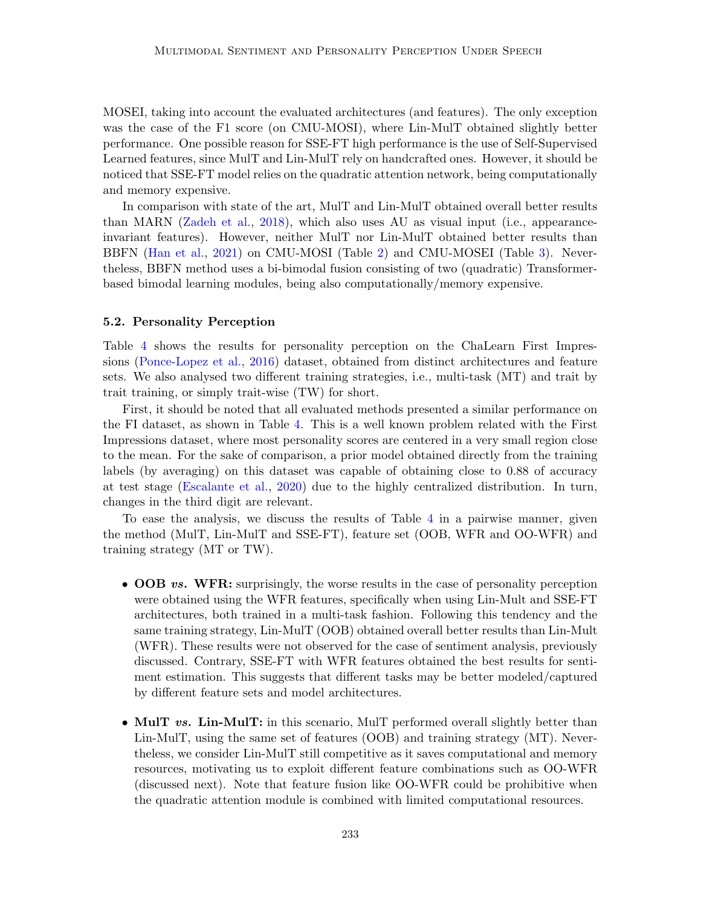MOSEI, taking into account the evaluated architectures (and features). The only exception was the case of the F1 score (on CMU-MOSI), where Lin-MulT obtained slightly better performance. One possible reason for SSE-FT high performance is the use of Self-Supervised Learned features, since MulT and Lin-MulT rely on handcrafted ones. However, it should be noticed that SSE-FT model relies on the quadratic attention network, being computationally and memory expensive.

In comparison with state of the art, MulT and Lin-MulT obtained overall better results than MARN [\(Zadeh et al.,](#page-22-2) [2018\)](#page-22-2), which also uses AU as visual input (i.e., appearanceinvariant features). However, neither MulT nor Lin-MulT obtained better results than BBFN [\(Han et al.,](#page-20-4) [2021\)](#page-20-4) on CMU-MOSI (Table [2\)](#page-14-0) and CMU-MOSEI (Table [3\)](#page-14-1). Nevertheless, BBFN method uses a bi-bimodal fusion consisting of two (quadratic) Transformerbased bimodal learning modules, being also computationally/memory expensive.

#### <span id="page-15-0"></span>5.2. Personality Perception

Table [4](#page-16-1) shows the results for personality perception on the ChaLearn First Impressions [\(Ponce-Lopez et al.,](#page-21-5) [2016\)](#page-21-5) dataset, obtained from distinct architectures and feature sets. We also analysed two different training strategies, i.e., multi-task (MT) and trait by trait training, or simply trait-wise (TW) for short.

First, it should be noted that all evaluated methods presented a similar performance on the FI dataset, as shown in Table [4.](#page-16-1) This is a well known problem related with the First Impressions dataset, where most personality scores are centered in a very small region close to the mean. For the sake of comparison, a prior model obtained directly from the training labels (by averaging) on this dataset was capable of obtaining close to 0.88 of accuracy at test stage [\(Escalante et al.,](#page-19-4) [2020\)](#page-19-4) due to the highly centralized distribution. In turn, changes in the third digit are relevant.

To ease the analysis, we discuss the results of Table [4](#page-16-1) in a pairwise manner, given the method (MulT, Lin-MulT and SSE-FT), feature set (OOB, WFR and OO-WFR) and training strategy (MT or TW).

- OOB vs. WFR: surprisingly, the worse results in the case of personality perception were obtained using the WFR features, specifically when using Lin-Mult and SSE-FT architectures, both trained in a multi-task fashion. Following this tendency and the same training strategy, Lin-MulT (OOB) obtained overall better results than Lin-Mult (WFR). These results were not observed for the case of sentiment analysis, previously discussed. Contrary, SSE-FT with WFR features obtained the best results for sentiment estimation. This suggests that different tasks may be better modeled/captured by different feature sets and model architectures.
- MulT vs. Lin-MulT: in this scenario, MulT performed overall slightly better than Lin-MulT, using the same set of features (OOB) and training strategy (MT). Nevertheless, we consider Lin-MulT still competitive as it saves computational and memory resources, motivating us to exploit different feature combinations such as OO-WFR (discussed next). Note that feature fusion like OO-WFR could be prohibitive when the quadratic attention module is combined with limited computational resources.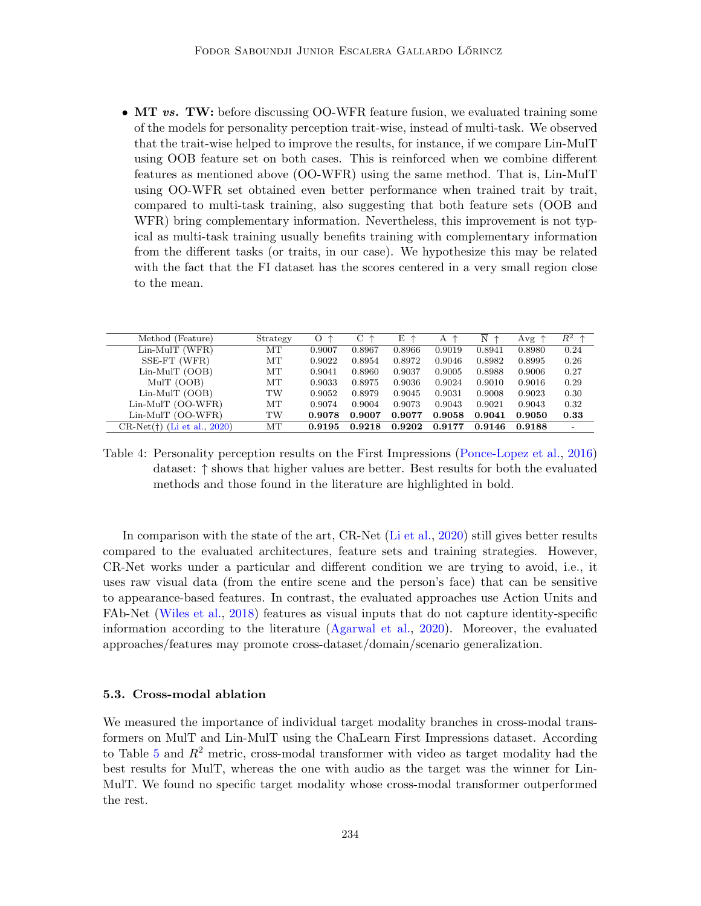• MT vs. TW: before discussing OO-WFR feature fusion, we evaluated training some of the models for personality perception trait-wise, instead of multi-task. We observed that the trait-wise helped to improve the results, for instance, if we compare Lin-MulT using OOB feature set on both cases. This is reinforced when we combine different features as mentioned above (OO-WFR) using the same method. That is, Lin-MulT using OO-WFR set obtained even better performance when trained trait by trait, compared to multi-task training, also suggesting that both feature sets (OOB and WFR) bring complementary information. Nevertheless, this improvement is not typical as multi-task training usually benefits training with complementary information from the different tasks (or traits, in our case). We hypothesize this may be related with the fact that the FI dataset has the scores centered in a very small region close to the mean.

| Method (Feature)              | Strategy | O<br>↑ | C.     | E.     | A      | N      | Avg    | $R^2$ $\uparrow$ |
|-------------------------------|----------|--------|--------|--------|--------|--------|--------|------------------|
| $Lin-MuIT$ (WFR)              | MТ       | 0.9007 | 0.8967 | 0.8966 | 0.9019 | 0.8941 | 0.8980 | 0.24             |
| SSE-FT (WFR)                  | MТ       | 0.9022 | 0.8954 | 0.8972 | 0.9046 | 0.8982 | 0.8995 | 0.26             |
| $Lin-MuIT$ (OOB)              | МT       | 0.9041 | 0.8960 | 0.9037 | 0.9005 | 0.8988 | 0.9006 | 0.27             |
| MulT (OOB)                    | МT       | 0.9033 | 0.8975 | 0.9036 | 0.9024 | 0.9010 | 0.9016 | 0.29             |
| $Lin-MuIT$ (OOB)              | TW       | 0.9052 | 0.8979 | 0.9045 | 0.9031 | 0.9008 | 0.9023 | 0.30             |
| $Lin-MuIT$ (OO-WFR)           | MT       | 0.9074 | 0.9004 | 0.9073 | 0.9043 | 0.9021 | 0.9043 | 0.32             |
| $Lin-MuIT$ (OO-WFR)           | TW       | 0.9078 | 0.9007 | 0.9077 | 0.9058 | 0.9041 | 0.9050 | 0.33             |
| $CR-Net(+)$ (Li et al., 2020) | MТ       | 0.9195 | 0.9218 | 0.9202 | 0.9177 | 0.9146 | 0.9188 |                  |

<span id="page-16-1"></span>Table 4: Personality perception results on the First Impressions [\(Ponce-Lopez et al.,](#page-21-5) [2016\)](#page-21-5) dataset: ↑ shows that higher values are better. Best results for both the evaluated methods and those found in the literature are highlighted in bold.

In comparison with the state of the art, CR-Net [\(Li et al.,](#page-21-8) [2020\)](#page-21-8) still gives better results compared to the evaluated architectures, feature sets and training strategies. However, CR-Net works under a particular and different condition we are trying to avoid, i.e., it uses raw visual data (from the entire scene and the person's face) that can be sensitive to appearance-based features. In contrast, the evaluated approaches use Action Units and FAb-Net [\(Wiles et al.,](#page-22-8) [2018\)](#page-22-8) features as visual inputs that do not capture identity-specific information according to the literature [\(Agarwal et al.,](#page-18-5) [2020\)](#page-18-5). Moreover, the evaluated approaches/features may promote cross-dataset/domain/scenario generalization.

#### <span id="page-16-0"></span>5.3. Cross-modal ablation

We measured the importance of individual target modality branches in cross-modal transformers on MulT and Lin-MulT using the ChaLearn First Impressions dataset. According to Table  $5$  and  $R<sup>2</sup>$  metric, cross-modal transformer with video as target modality had the best results for MulT, whereas the one with audio as the target was the winner for Lin-MulT. We found no specific target modality whose cross-modal transformer outperformed the rest.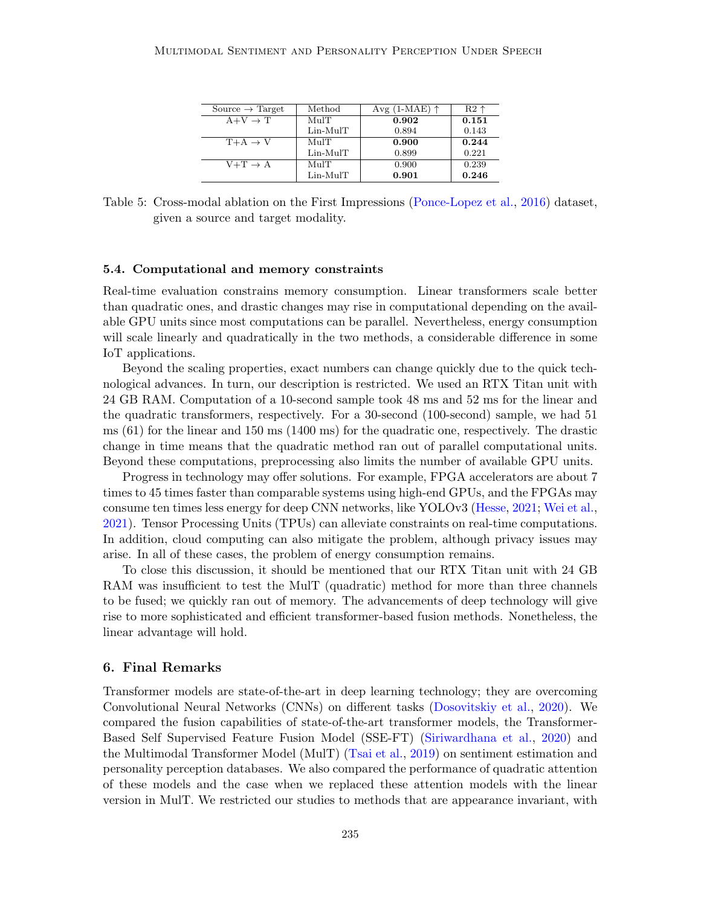| Source $\rightarrow$ Target | Method     | Avg $(1-MAE)$ $\uparrow$ | $R2$ $\sim$ |
|-----------------------------|------------|--------------------------|-------------|
| $A+V \rightarrow T$         | MulT       | 0.902                    | 0.151       |
|                             | $Lin-MuIT$ | 0.894                    | 0.143       |
| $T+A \rightarrow V$         | MulT       | 0.900                    | 0.244       |
|                             | $Lin-MuIT$ | 0.899                    | 0.221       |
| $V+T \rightarrow A$         | MulT       | 0.900                    | 0.239       |
|                             | $Lin-MuIT$ | 0.901                    | 0.246       |

<span id="page-17-2"></span>Table 5: Cross-modal ablation on the First Impressions [\(Ponce-Lopez et al.,](#page-21-5) [2016\)](#page-21-5) dataset, given a source and target modality.

#### <span id="page-17-1"></span>5.4. Computational and memory constraints

Real-time evaluation constrains memory consumption. Linear transformers scale better than quadratic ones, and drastic changes may rise in computational depending on the available GPU units since most computations can be parallel. Nevertheless, energy consumption will scale linearly and quadratically in the two methods, a considerable difference in some IoT applications.

Beyond the scaling properties, exact numbers can change quickly due to the quick technological advances. In turn, our description is restricted. We used an RTX Titan unit with 24 GB RAM. Computation of a 10-second sample took 48 ms and 52 ms for the linear and the quadratic transformers, respectively. For a 30-second (100-second) sample, we had 51 ms (61) for the linear and 150 ms (1400 ms) for the quadratic one, respectively. The drastic change in time means that the quadratic method ran out of parallel computational units. Beyond these computations, preprocessing also limits the number of available GPU units.

Progress in technology may offer solutions. For example, FPGA accelerators are about 7 times to 45 times faster than comparable systems using high-end GPUs, and the FPGAs may consume ten times less energy for deep CNN networks, like YOLOv3 [\(Hesse,](#page-20-11) [2021;](#page-20-11) [Wei et al.,](#page-22-12) [2021\)](#page-22-12). Tensor Processing Units (TPUs) can alleviate constraints on real-time computations. In addition, cloud computing can also mitigate the problem, although privacy issues may arise. In all of these cases, the problem of energy consumption remains.

To close this discussion, it should be mentioned that our RTX Titan unit with 24 GB RAM was insufficient to test the MulT (quadratic) method for more than three channels to be fused; we quickly ran out of memory. The advancements of deep technology will give rise to more sophisticated and efficient transformer-based fusion methods. Nonetheless, the linear advantage will hold.

## <span id="page-17-0"></span>6. Final Remarks

Transformer models are state-of-the-art in deep learning technology; they are overcoming Convolutional Neural Networks (CNNs) on different tasks [\(Dosovitskiy et al.,](#page-19-9) [2020\)](#page-19-9). We compared the fusion capabilities of state-of-the-art transformer models, the Transformer-Based Self Supervised Feature Fusion Model (SSE-FT) [\(Siriwardhana et al.,](#page-22-5) [2020\)](#page-22-5) and the Multimodal Transformer Model (MulT) [\(Tsai et al.,](#page-22-9) [2019\)](#page-22-9) on sentiment estimation and personality perception databases. We also compared the performance of quadratic attention of these models and the case when we replaced these attention models with the linear version in MulT. We restricted our studies to methods that are appearance invariant, with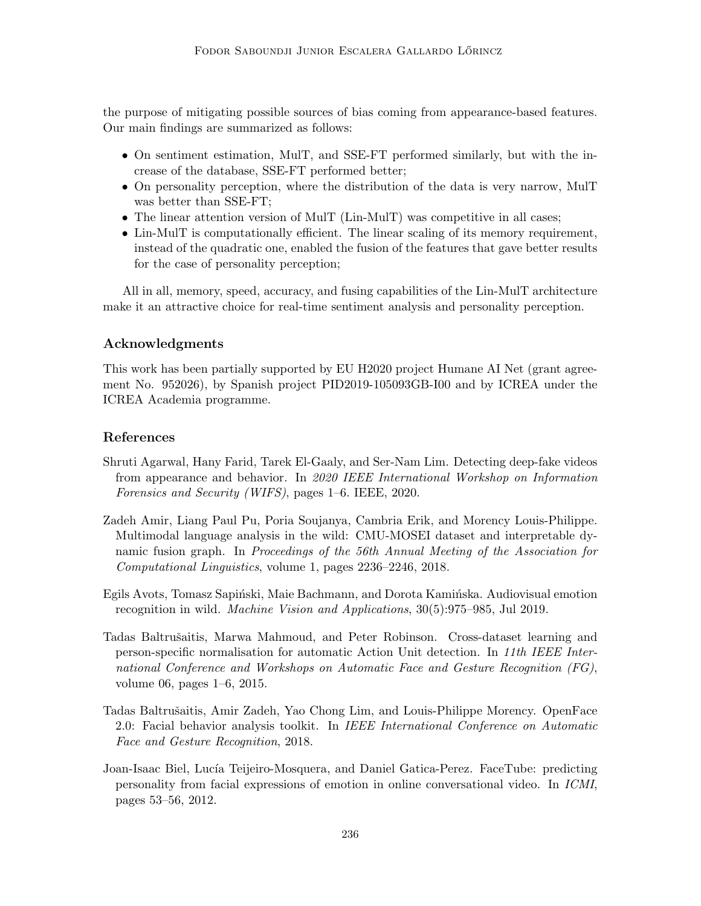the purpose of mitigating possible sources of bias coming from appearance-based features. Our main findings are summarized as follows:

- On sentiment estimation, MulT, and SSE-FT performed similarly, but with the increase of the database, SSE-FT performed better;
- On personality perception, where the distribution of the data is very narrow, MulT was better than SSE-FT;
- The linear attention version of MulT (Lin-MulT) was competitive in all cases;
- Lin-MulT is computationally efficient. The linear scaling of its memory requirement, instead of the quadratic one, enabled the fusion of the features that gave better results for the case of personality perception;

All in all, memory, speed, accuracy, and fusing capabilities of the Lin-MulT architecture make it an attractive choice for real-time sentiment analysis and personality perception.

# Acknowledgments

This work has been partially supported by EU H2020 project Humane AI Net (grant agreement No. 952026), by Spanish project PID2019-105093GB-I00 and by ICREA under the ICREA Academia programme.

# References

- <span id="page-18-5"></span>Shruti Agarwal, Hany Farid, Tarek El-Gaaly, and Ser-Nam Lim. Detecting deep-fake videos from appearance and behavior. In 2020 IEEE International Workshop on Information Forensics and Security (WIFS), pages 1–6. IEEE, 2020.
- <span id="page-18-4"></span>Zadeh Amir, Liang Paul Pu, Poria Soujanya, Cambria Erik, and Morency Louis-Philippe. Multimodal language analysis in the wild: CMU-MOSEI dataset and interpretable dynamic fusion graph. In Proceedings of the 56th Annual Meeting of the Association for Computational Linguistics, volume 1, pages 2236–2246, 2018.
- <span id="page-18-0"></span>Egils Avots, Tomasz Sapiński, Maie Bachmann, and Dorota Kamińska. Audiovisual emotion recognition in wild. Machine Vision and Applications, 30(5):975–985, Jul 2019.
- <span id="page-18-2"></span>Tadas Baltrušaitis, Marwa Mahmoud, and Peter Robinson. Cross-dataset learning and person-specific normalisation for automatic Action Unit detection. In 11th IEEE International Conference and Workshops on Automatic Face and Gesture Recognition (FG), volume 06, pages 1–6, 2015.
- <span id="page-18-3"></span>Tadas Baltrušaitis, Amir Zadeh, Yao Chong Lim, and Louis-Philippe Morency. OpenFace 2.0: Facial behavior analysis toolkit. In IEEE International Conference on Automatic Face and Gesture Recognition, 2018.
- <span id="page-18-1"></span>Joan-Isaac Biel, Lucía Teijeiro-Mosquera, and Daniel Gatica-Perez. FaceTube: predicting personality from facial expressions of emotion in online conversational video. In ICMI, pages 53–56, 2012.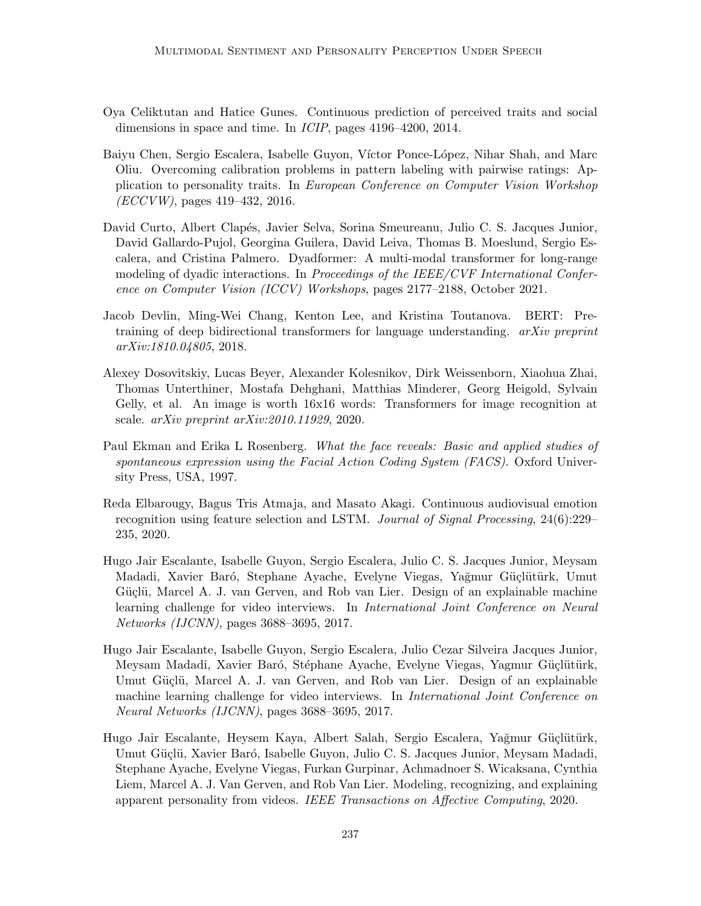- <span id="page-19-0"></span>Oya Celiktutan and Hatice Gunes. Continuous prediction of perceived traits and social dimensions in space and time. In ICIP, pages 4196–4200, 2014.
- <span id="page-19-7"></span>Baiyu Chen, Sergio Escalera, Isabelle Guyon, Víctor Ponce-López, Nihar Shah, and Marc Oliu. Overcoming calibration problems in pattern labeling with pairwise ratings: Application to personality traits. In European Conference on Computer Vision Workshop (ECCVW), pages 419–432, 2016.
- <span id="page-19-5"></span>David Curto, Albert Clap´es, Javier Selva, Sorina Smeureanu, Julio C. S. Jacques Junior, David Gallardo-Pujol, Georgina Guilera, David Leiva, Thomas B. Moeslund, Sergio Escalera, and Cristina Palmero. Dyadformer: A multi-modal transformer for long-range modeling of dyadic interactions. In Proceedings of the IEEE/CVF International Conference on Computer Vision (ICCV) Workshops, pages 2177–2188, October 2021.
- <span id="page-19-6"></span>Jacob Devlin, Ming-Wei Chang, Kenton Lee, and Kristina Toutanova. BERT: Pretraining of deep bidirectional transformers for language understanding.  $arXiv$  preprint arXiv:1810.04805, 2018.
- <span id="page-19-9"></span>Alexey Dosovitskiy, Lucas Beyer, Alexander Kolesnikov, Dirk Weissenborn, Xiaohua Zhai, Thomas Unterthiner, Mostafa Dehghani, Matthias Minderer, Georg Heigold, Sylvain Gelly, et al. An image is worth 16x16 words: Transformers for image recognition at scale. arXiv preprint arXiv:2010.11929, 2020.
- <span id="page-19-2"></span>Paul Ekman and Erika L Rosenberg. What the face reveals: Basic and applied studies of spontaneous expression using the Facial Action Coding System (FACS). Oxford University Press, USA, 1997.
- <span id="page-19-1"></span>Reda Elbarougy, Bagus Tris Atmaja, and Masato Akagi. Continuous audiovisual emotion recognition using feature selection and LSTM. Journal of Signal Processing, 24(6):229– 235, 2020.
- <span id="page-19-8"></span>Hugo Jair Escalante, Isabelle Guyon, Sergio Escalera, Julio C. S. Jacques Junior, Meysam Madadi, Xavier Baró, Stephane Ayache, Evelyne Viegas, Yağmur Güçlütürk, Umut Güçlü, Marcel A. J. van Gerven, and Rob van Lier. Design of an explainable machine learning challenge for video interviews. In International Joint Conference on Neural Networks (IJCNN), pages 3688–3695, 2017.
- <span id="page-19-3"></span>Hugo Jair Escalante, Isabelle Guyon, Sergio Escalera, Julio Cezar Silveira Jacques Junior, Meysam Madadi, Xavier Baró, Stéphane Ayache, Evelyne Viegas, Yagmur Güçlütürk, Umut Güçlü, Marcel A. J. van Gerven, and Rob van Lier. Design of an explainable machine learning challenge for video interviews. In *International Joint Conference on* Neural Networks (IJCNN), pages 3688–3695, 2017.
- <span id="page-19-4"></span>Hugo Jair Escalante, Heysem Kaya, Albert Salah, Sergio Escalera, Yağmur Güçlütürk, Umut Güçlü, Xavier Baró, Isabelle Guyon, Julio C. S. Jacques Junior, Meysam Madadi, Stephane Ayache, Evelyne Viegas, Furkan Gurpinar, Achmadnoer S. Wicaksana, Cynthia Liem, Marcel A. J. Van Gerven, and Rob Van Lier. Modeling, recognizing, and explaining apparent personality from videos. IEEE Transactions on Affective Computing, 2020.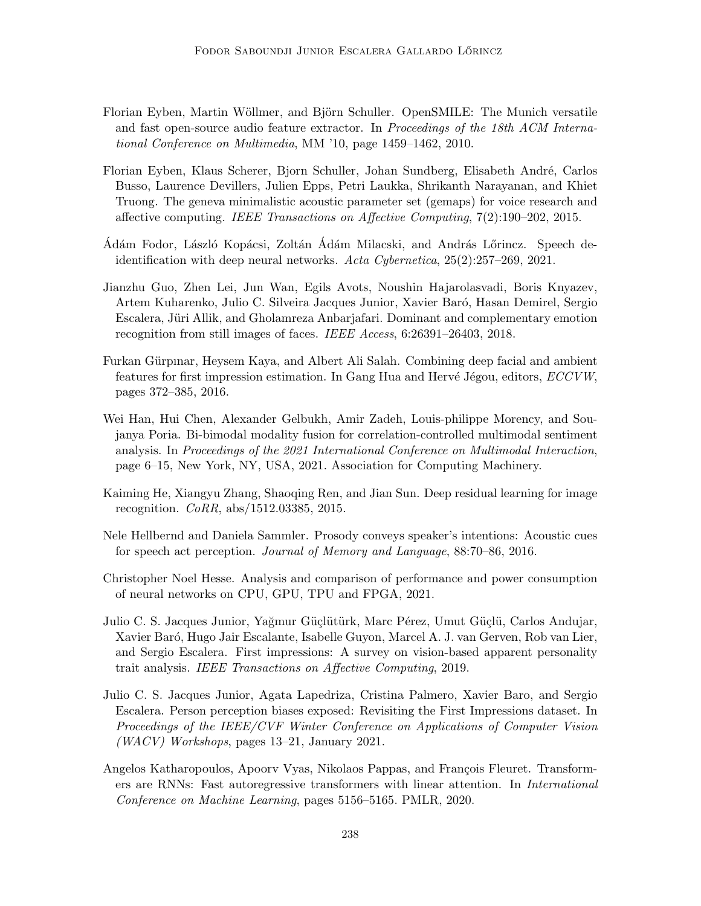- <span id="page-20-10"></span>Florian Eyben, Martin Wöllmer, and Björn Schuller. OpenSMILE: The Munich versatile and fast open-source audio feature extractor. In Proceedings of the 18th ACM International Conference on Multimedia, MM '10, page 1459–1462, 2010.
- <span id="page-20-9"></span>Florian Eyben, Klaus Scherer, Bjorn Schuller, Johan Sundberg, Elisabeth André, Carlos Busso, Laurence Devillers, Julien Epps, Petri Laukka, Shrikanth Narayanan, and Khiet Truong. The geneva minimalistic acoustic parameter set (gemaps) for voice research and affective computing. IEEE Transactions on Affective Computing, 7(2):190–202, 2015.
- <span id="page-20-3"></span>Adám Fodor, László Kopácsi, Zoltán Ádám Milacski, and András Lőrincz. Speech deidentification with deep neural networks. Acta Cybernetica, 25(2):257–269, 2021.
- <span id="page-20-1"></span>Jianzhu Guo, Zhen Lei, Jun Wan, Egils Avots, Noushin Hajarolasvadi, Boris Knyazev, Artem Kuharenko, Julio C. Silveira Jacques Junior, Xavier Baró, Hasan Demirel, Sergio Escalera, Jüri Allik, and Gholamreza Anbarjafari. Dominant and complementary emotion recognition from still images of faces. IEEE Access, 6:26391–26403, 2018.
- <span id="page-20-6"></span>Furkan Gürpinar, Heysem Kaya, and Albert Ali Salah. Combining deep facial and ambient features for first impression estimation. In Gang Hua and Hervé Jégou, editors, ECCVW, pages 372–385, 2016.
- <span id="page-20-4"></span>Wei Han, Hui Chen, Alexander Gelbukh, Amir Zadeh, Louis-philippe Morency, and Soujanya Poria. Bi-bimodal modality fusion for correlation-controlled multimodal sentiment analysis. In Proceedings of the 2021 International Conference on Multimodal Interaction, page 6–15, New York, NY, USA, 2021. Association for Computing Machinery.
- <span id="page-20-7"></span>Kaiming He, Xiangyu Zhang, Shaoqing Ren, and Jian Sun. Deep residual learning for image recognition. CoRR, abs/1512.03385, 2015.
- <span id="page-20-2"></span>Nele Hellbernd and Daniela Sammler. Prosody conveys speaker's intentions: Acoustic cues for speech act perception. Journal of Memory and Language, 88:70–86, 2016.
- <span id="page-20-11"></span>Christopher Noel Hesse. Analysis and comparison of performance and power consumption of neural networks on CPU, GPU, TPU and FPGA, 2021.
- <span id="page-20-0"></span>Julio C. S. Jacques Junior, Yağmur Güçlütürk, Marc Pérez, Umut Güçlü, Carlos Andujar, Xavier Bar´o, Hugo Jair Escalante, Isabelle Guyon, Marcel A. J. van Gerven, Rob van Lier, and Sergio Escalera. First impressions: A survey on vision-based apparent personality trait analysis. IEEE Transactions on Affective Computing, 2019.
- <span id="page-20-5"></span>Julio C. S. Jacques Junior, Agata Lapedriza, Cristina Palmero, Xavier Baro, and Sergio Escalera. Person perception biases exposed: Revisiting the First Impressions dataset. In Proceedings of the IEEE/CVF Winter Conference on Applications of Computer Vision (WACV) Workshops, pages 13–21, January 2021.
- <span id="page-20-8"></span>Angelos Katharopoulos, Apoorv Vyas, Nikolaos Pappas, and François Fleuret. Transformers are RNNs: Fast autoregressive transformers with linear attention. In International Conference on Machine Learning, pages 5156–5165. PMLR, 2020.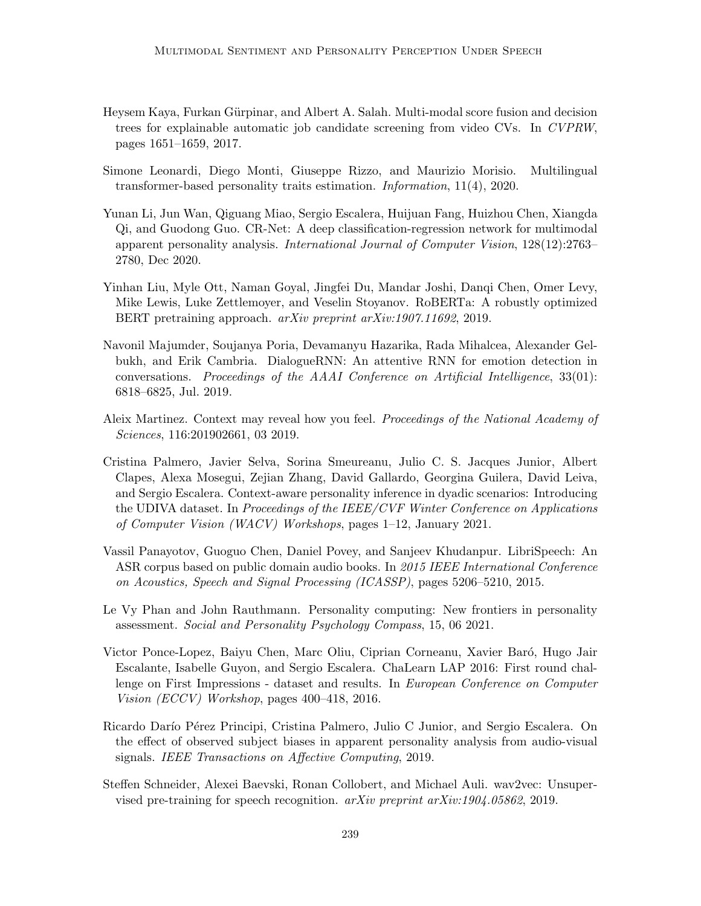- <span id="page-21-6"></span>Heysem Kaya, Furkan Gürpinar, and Albert A. Salah. Multi-modal score fusion and decision trees for explainable automatic job candidate screening from video CVs. In CVPRW, pages 1651–1659, 2017.
- <span id="page-21-4"></span>Simone Leonardi, Diego Monti, Giuseppe Rizzo, and Maurizio Morisio. Multilingual transformer-based personality traits estimation. Information, 11(4), 2020.
- <span id="page-21-8"></span>Yunan Li, Jun Wan, Qiguang Miao, Sergio Escalera, Huijuan Fang, Huizhou Chen, Xiangda Qi, and Guodong Guo. CR-Net: A deep classification-regression network for multimodal apparent personality analysis. International Journal of Computer Vision, 128(12):2763– 2780, Dec 2020.
- <span id="page-21-9"></span>Yinhan Liu, Myle Ott, Naman Goyal, Jingfei Du, Mandar Joshi, Danqi Chen, Omer Levy, Mike Lewis, Luke Zettlemoyer, and Veselin Stoyanov. RoBERTa: A robustly optimized BERT pretraining approach. arXiv preprint arXiv:1907.11692, 2019.
- <span id="page-21-2"></span>Navonil Majumder, Soujanya Poria, Devamanyu Hazarika, Rada Mihalcea, Alexander Gelbukh, and Erik Cambria. DialogueRNN: An attentive RNN for emotion detection in conversations. Proceedings of the AAAI Conference on Artificial Intelligence, 33(01): 6818–6825, Jul. 2019.
- <span id="page-21-1"></span>Aleix Martinez. Context may reveal how you feel. Proceedings of the National Academy of Sciences, 116:201902661, 03 2019.
- <span id="page-21-3"></span>Cristina Palmero, Javier Selva, Sorina Smeureanu, Julio C. S. Jacques Junior, Albert Clapes, Alexa Mosegui, Zejian Zhang, David Gallardo, Georgina Guilera, David Leiva, and Sergio Escalera. Context-aware personality inference in dyadic scenarios: Introducing the UDIVA dataset. In *Proceedings of the IEEE/CVF Winter Conference on Applications* of Computer Vision (WACV) Workshops, pages 1–12, January 2021.
- <span id="page-21-11"></span>Vassil Panayotov, Guoguo Chen, Daniel Povey, and Sanjeev Khudanpur. LibriSpeech: An ASR corpus based on public domain audio books. In 2015 IEEE International Conference on Acoustics, Speech and Signal Processing (ICASSP), pages 5206–5210, 2015.
- <span id="page-21-0"></span>Le Vy Phan and John Rauthmann. Personality computing: New frontiers in personality assessment. Social and Personality Psychology Compass, 15, 06 2021.
- <span id="page-21-5"></span>Victor Ponce-Lopez, Baiyu Chen, Marc Oliu, Ciprian Corneanu, Xavier Baró, Hugo Jair Escalante, Isabelle Guyon, and Sergio Escalera. ChaLearn LAP 2016: First round challenge on First Impressions - dataset and results. In European Conference on Computer Vision (ECCV) Workshop, pages 400–418, 2016.
- <span id="page-21-7"></span>Ricardo Darío Pérez Principi, Cristina Palmero, Julio C Junior, and Sergio Escalera. On the effect of observed subject biases in apparent personality analysis from audio-visual signals. IEEE Transactions on Affective Computing, 2019.
- <span id="page-21-10"></span>Steffen Schneider, Alexei Baevski, Ronan Collobert, and Michael Auli. wav2vec: Unsupervised pre-training for speech recognition. arXiv preprint arXiv:1904.05862, 2019.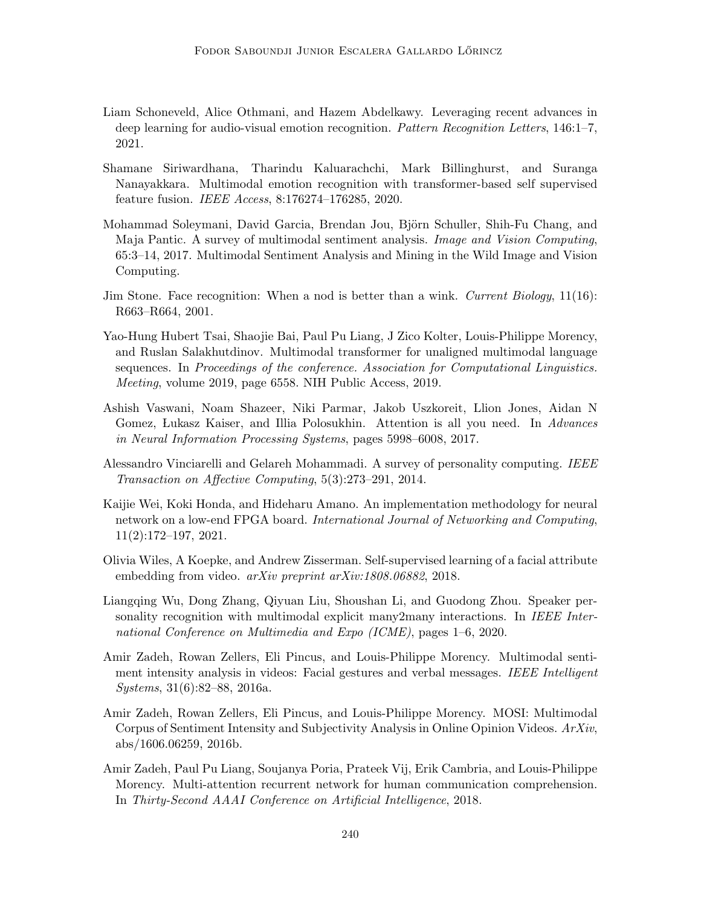- <span id="page-22-3"></span>Liam Schoneveld, Alice Othmani, and Hazem Abdelkawy. Leveraging recent advances in deep learning for audio-visual emotion recognition. Pattern Recognition Letters, 146:1–7, 2021.
- <span id="page-22-5"></span>Shamane Siriwardhana, Tharindu Kaluarachchi, Mark Billinghurst, and Suranga Nanayakkara. Multimodal emotion recognition with transformer-based self supervised feature fusion. IEEE Access, 8:176274–176285, 2020.
- <span id="page-22-1"></span>Mohammad Soleymani, David Garcia, Brendan Jou, Björn Schuller, Shih-Fu Chang, and Maja Pantic. A survey of multimodal sentiment analysis. Image and Vision Computing, 65:3–14, 2017. Multimodal Sentiment Analysis and Mining in the Wild Image and Vision Computing.
- <span id="page-22-6"></span>Jim Stone. Face recognition: When a nod is better than a wink. Current Biology,  $11(16)$ : R663–R664, 2001.
- <span id="page-22-9"></span>Yao-Hung Hubert Tsai, Shaojie Bai, Paul Pu Liang, J Zico Kolter, Louis-Philippe Morency, and Ruslan Salakhutdinov. Multimodal transformer for unaligned multimodal language sequences. In Proceedings of the conference. Association for Computational Linguistics. Meeting, volume 2019, page 6558. NIH Public Access, 2019.
- <span id="page-22-4"></span>Ashish Vaswani, Noam Shazeer, Niki Parmar, Jakob Uszkoreit, Llion Jones, Aidan N Gomez, Lukasz Kaiser, and Illia Polosukhin. Attention is all you need. In Advances in Neural Information Processing Systems, pages 5998–6008, 2017.
- <span id="page-22-0"></span>Alessandro Vinciarelli and Gelareh Mohammadi. A survey of personality computing. IEEE Transaction on Affective Computing, 5(3):273–291, 2014.
- <span id="page-22-12"></span>Kaijie Wei, Koki Honda, and Hideharu Amano. An implementation methodology for neural network on a low-end FPGA board. International Journal of Networking and Computing, 11(2):172–197, 2021.
- <span id="page-22-8"></span>Olivia Wiles, A Koepke, and Andrew Zisserman. Self-supervised learning of a facial attribute embedding from video. *arXiv preprint arXiv:1808.06882*, 2018.
- <span id="page-22-10"></span>Liangqing Wu, Dong Zhang, Qiyuan Liu, Shoushan Li, and Guodong Zhou. Speaker personality recognition with multimodal explicit many2many interactions. In IEEE International Conference on Multimedia and Expo (ICME), pages 1–6, 2020.
- <span id="page-22-7"></span>Amir Zadeh, Rowan Zellers, Eli Pincus, and Louis-Philippe Morency. Multimodal sentiment intensity analysis in videos: Facial gestures and verbal messages. IEEE Intelligent Systems, 31(6):82–88, 2016a.
- <span id="page-22-11"></span>Amir Zadeh, Rowan Zellers, Eli Pincus, and Louis-Philippe Morency. MOSI: Multimodal Corpus of Sentiment Intensity and Subjectivity Analysis in Online Opinion Videos. ArXiv, abs/1606.06259, 2016b.
- <span id="page-22-2"></span>Amir Zadeh, Paul Pu Liang, Soujanya Poria, Prateek Vij, Erik Cambria, and Louis-Philippe Morency. Multi-attention recurrent network for human communication comprehension. In Thirty-Second AAAI Conference on Artificial Intelligence, 2018.